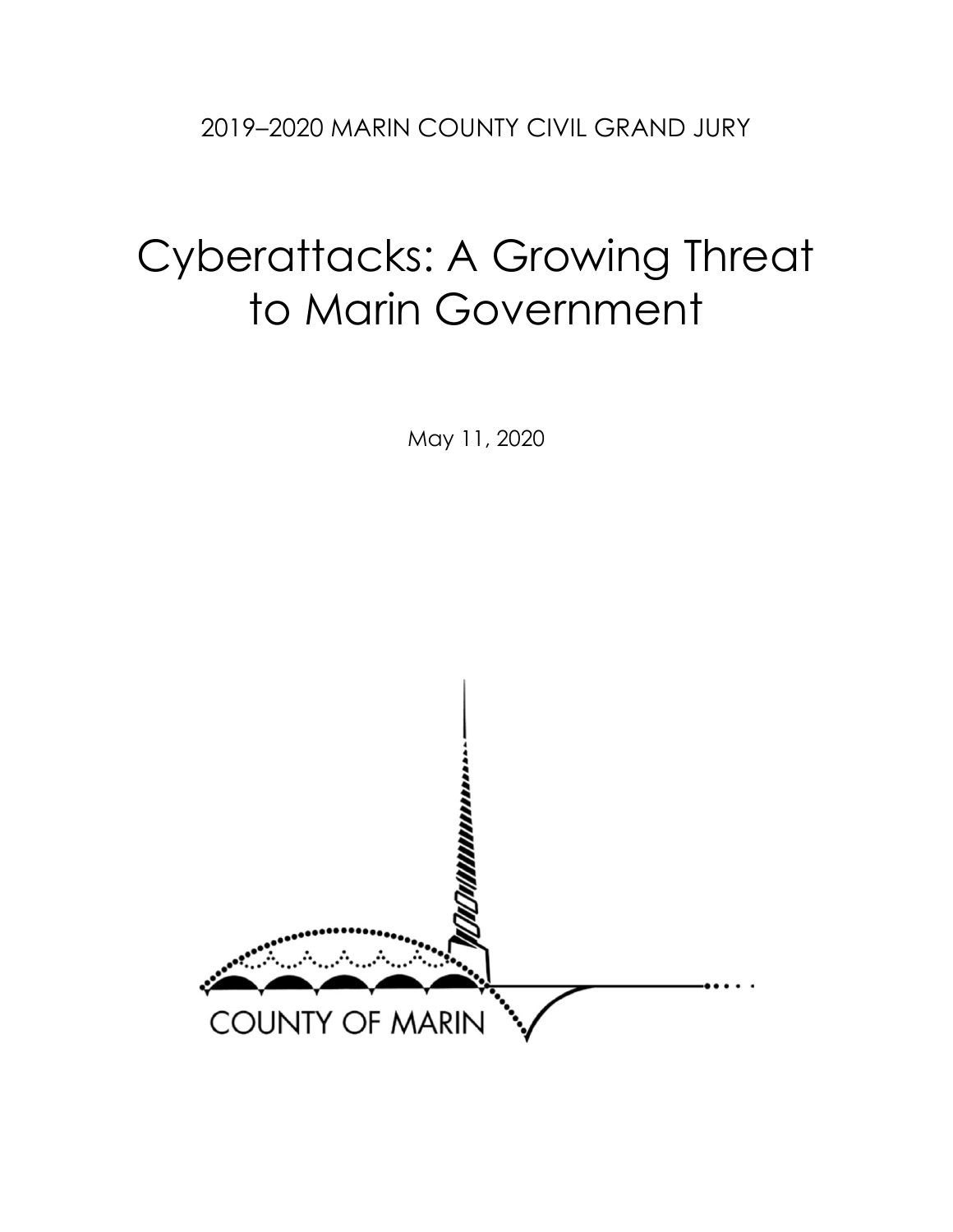# Cyberattacks: A Growing Threat to Marin Government

May 11, 2020

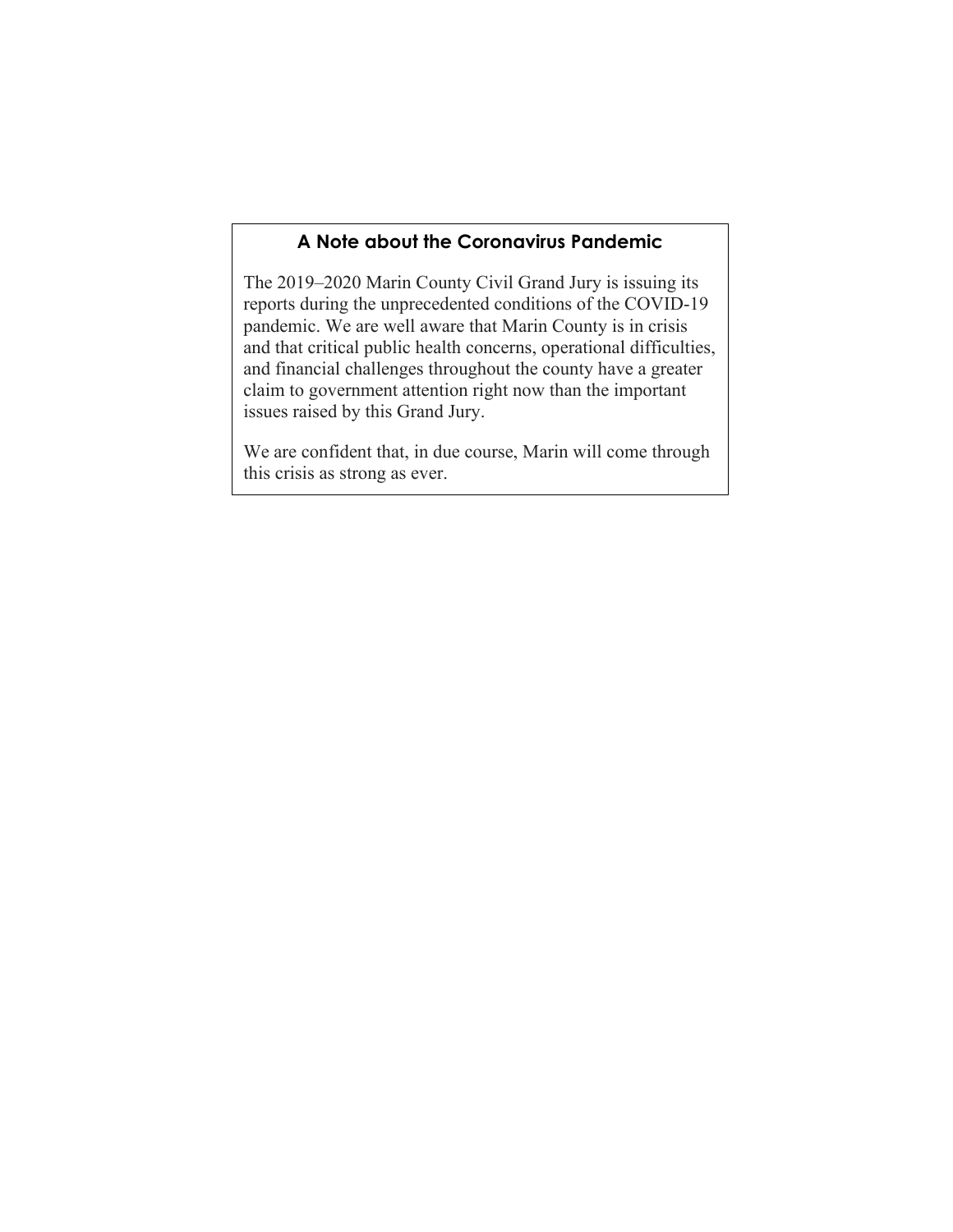## **A Note about the Coronavirus Pandemic**

The 2019–2020 Marin County Civil Grand Jury is issuing its reports during the unprecedented conditions of the COVID-19 pandemic. We are well aware that Marin County is in crisis and that critical public health concerns, operational difficulties, and financial challenges throughout the county have a greater claim to government attention right now than the important issues raised by this Grand Jury.

We are confident that, in due course, Marin will come through this crisis as strong as ever.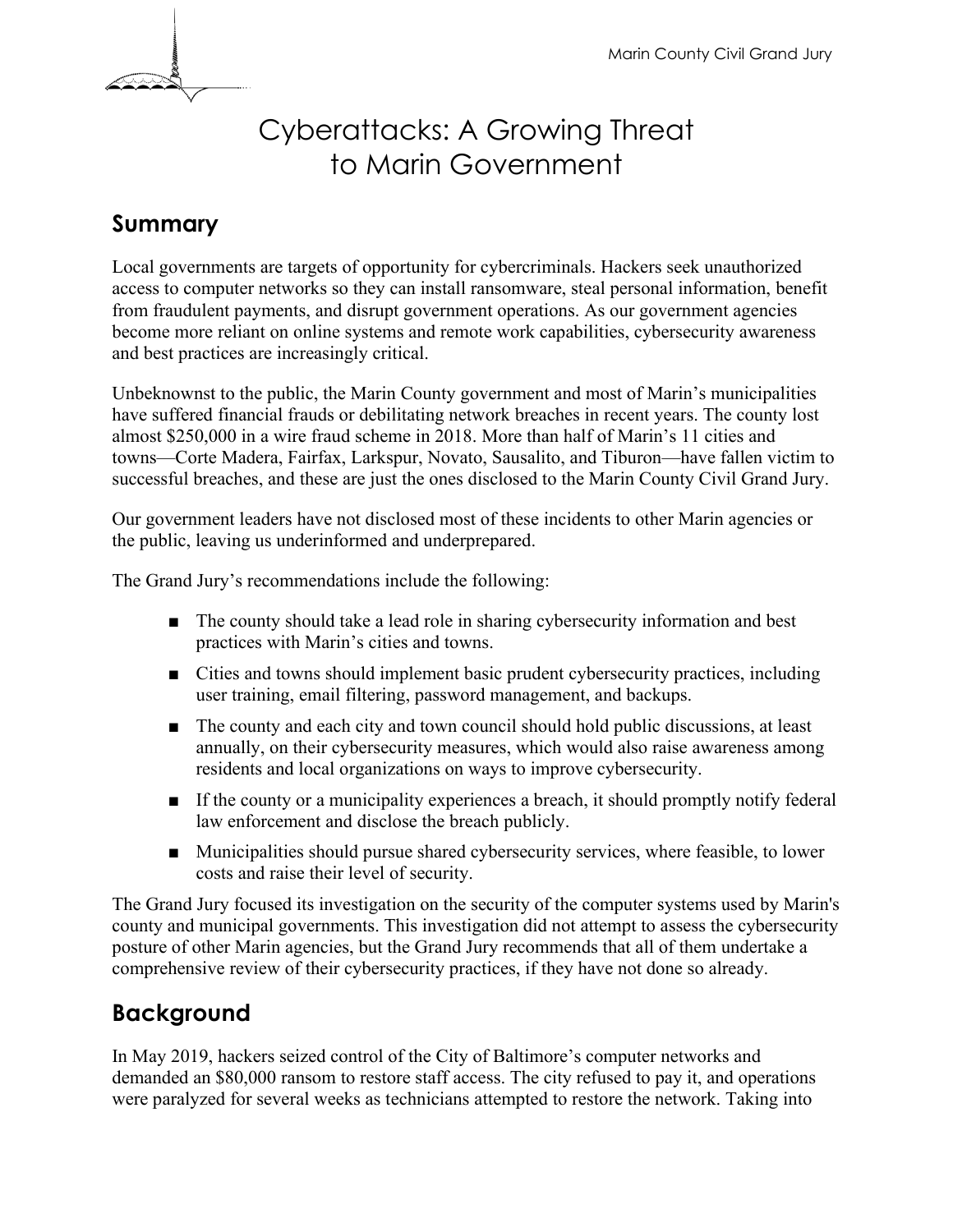

# Cyberattacks: A Growing Threat to Marin Government

# **Summary**

Local governments are targets of opportunity for cybercriminals. Hackers seek unauthorized access to computer networks so they can install ransomware, steal personal information, benefit from fraudulent payments, and disrupt government operations. As our government agencies become more reliant on online systems and remote work capabilities, cybersecurity awareness and best practices are increasingly critical.

Unbeknownst to the public, the Marin County government and most of Marin's municipalities have suffered financial frauds or debilitating network breaches in recent years. The county lost almost \$250,000 in a wire fraud scheme in 2018. More than half of Marin's 11 cities and towns—Corte Madera, Fairfax, Larkspur, Novato, Sausalito, and Tiburon—have fallen victim to successful breaches, and these are just the ones disclosed to the Marin County Civil Grand Jury.

Our government leaders have not disclosed most of these incidents to other Marin agencies or the public, leaving us underinformed and underprepared.

The Grand Jury's recommendations include the following:

- The county should take a lead role in sharing cybersecurity information and best practices with Marin's cities and towns.
- Cities and towns should implement basic prudent cybersecurity practices, including user training, email filtering, password management, and backups.
- The county and each city and town council should hold public discussions, at least annually, on their cybersecurity measures, which would also raise awareness among residents and local organizations on ways to improve cybersecurity.
- If the county or a municipality experiences a breach, it should promptly notify federal law enforcement and disclose the breach publicly.
- Municipalities should pursue shared cybersecurity services, where feasible, to lower costs and raise their level of security.

The Grand Jury focused its investigation on the security of the computer systems used by Marin's county and municipal governments. This investigation did not attempt to assess the cybersecurity posture of other Marin agencies, but the Grand Jury recommends that all of them undertake a comprehensive review of their cybersecurity practices, if they have not done so already.

# **Background**

In May 2019, hackers seized control of the City of Baltimore's computer networks and demanded an \$80,000 ransom to restore staff access. The city refused to pay it, and operations were paralyzed for several weeks as technicians attempted to restore the network. Taking into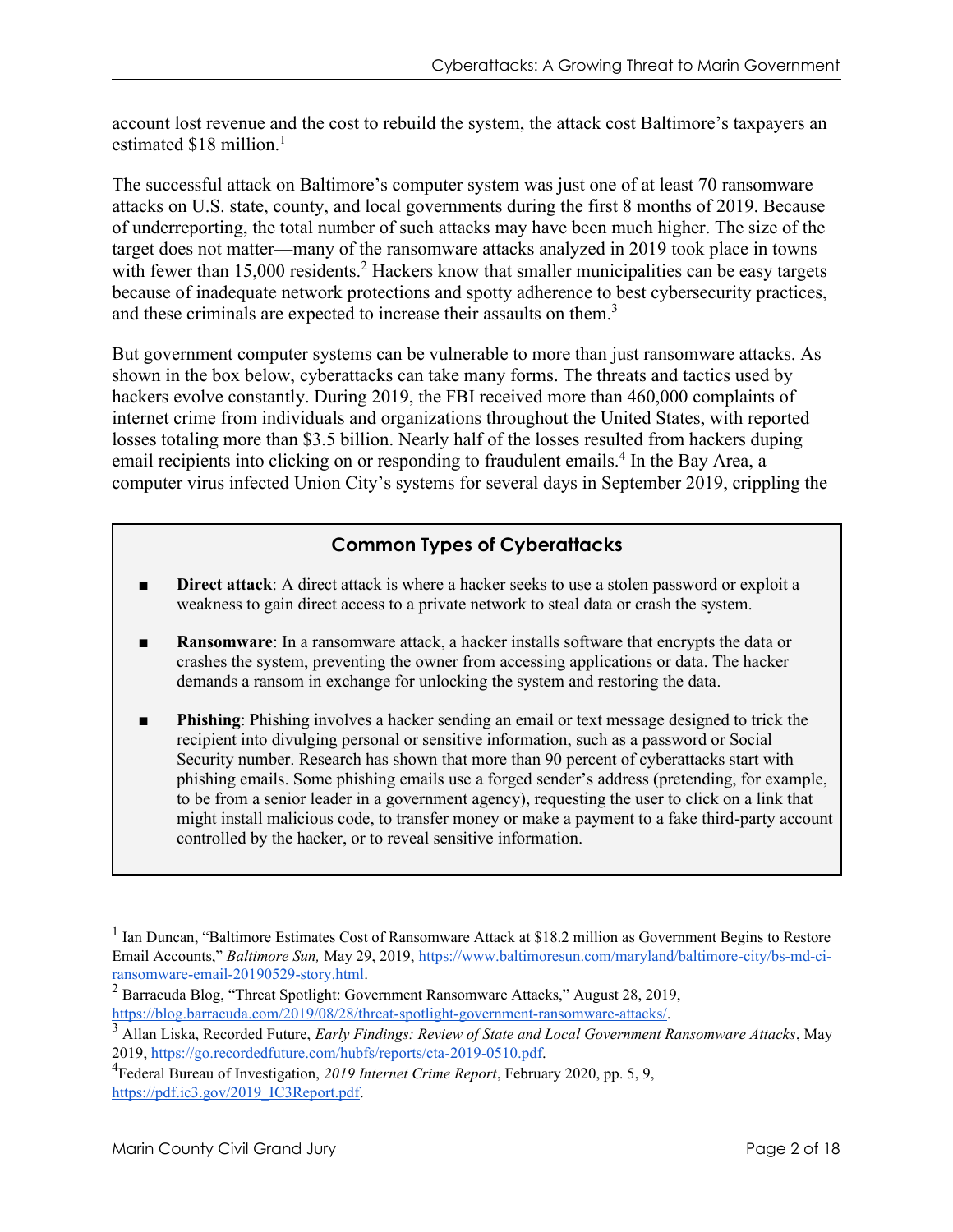account lost revenue and the cost to rebuild the system, the attack cost Baltimore's taxpayers an estimated  $$18$  million.<sup>1</sup>

The successful attack on Baltimore's computer system was just one of at least 70 ransomware attacks on U.S. state, county, and local governments during the first 8 months of 2019. Because of underreporting, the total number of such attacks may have been much higher. The size of the target does not matter—many of the ransomware attacks analyzed in 2019 took place in towns with fewer than 15,000 residents.<sup>2</sup> Hackers know that smaller municipalities can be easy targets because of inadequate network protections and spotty adherence to best cybersecurity practices, and these criminals are expected to increase their assaults on them.<sup>3</sup>

But government computer systems can be vulnerable to more than just ransomware attacks. As shown in the box below, cyberattacks can take many forms. The threats and tactics used by hackers evolve constantly. During 2019, the FBI received more than 460,000 complaints of internet crime from individuals and organizations throughout the United States, with reported losses totaling more than \$3.5 billion. Nearly half of the losses resulted from hackers duping email recipients into clicking on or responding to fraudulent emails.<sup>4</sup> In the Bay Area, a computer virus infected Union City's systems for several days in September 2019, crippling the

## **Common Types of Cyberattacks**

- **Direct attack**: A direct attack is where a hacker seeks to use a stolen password or exploit a weakness to gain direct access to a private network to steal data or crash the system.
- **Ransomware:** In a ransomware attack, a hacker installs software that encrypts the data or crashes the system, preventing the owner from accessing applications or data. The hacker demands a ransom in exchange for unlocking the system and restoring the data.
- **Phishing**: Phishing involves a hacker sending an email or text message designed to trick the recipient into divulging personal or sensitive information, such as a password or Social Security number. Research has shown that more than 90 percent of cyberattacks start with phishing emails. Some phishing emails use a forged sender's address (pretending, for example, to be from a senior leader in a government agency), requesting the user to click on a link that might install malicious code, to transfer money or make a payment to a fake third-party account controlled by the hacker, or to reveal sensitive information.

<sup>&</sup>lt;sup>1</sup> Ian Duncan, "Baltimore Estimates Cost of Ransomware Attack at \$18.2 million as Government Begins to Restore Email Accounts," *Baltimore Sun,* May 29, 2019, [https://www.baltimoresun.com/maryland/baltimore-city/bs-md-ci](https://www.baltimoresun.com/maryland/baltimore-city/bs-md-ci-ransomware-email-20190529-story.html)[ransomware-email-20190529-story.html.](https://www.baltimoresun.com/maryland/baltimore-city/bs-md-ci-ransomware-email-20190529-story.html)

 $\frac{2}{3}$  Barracuda Blog, "Threat Spotlight: Government Ransomware Attacks," August 28, 2019, [https://blog.barracuda.com/2019/08/28/threat-spotlight-government-ransomware-attacks/.](https://blog.barracuda.com/2019/08/28/threat-spotlight-government-ransomware-attacks/)

<sup>3</sup> Allan Liska, Recorded Future, *Early Findings: Review of State and Local Government Ransomware Attacks*, May 2019, [https://go.recordedfuture.com/hubfs/reports/cta-2019-0510.pdf.](https://go.recordedfuture.com/hubfs/reports/cta-2019-0510.pdf)

<sup>4</sup> Federal Bureau of Investigation, *2019 Internet Crime Report*, February 2020, pp. 5, 9, [https://pdf.ic3.gov/2019\\_IC3Report.pdf.](https://pdf.ic3.gov/2019_IC3Report.pdf)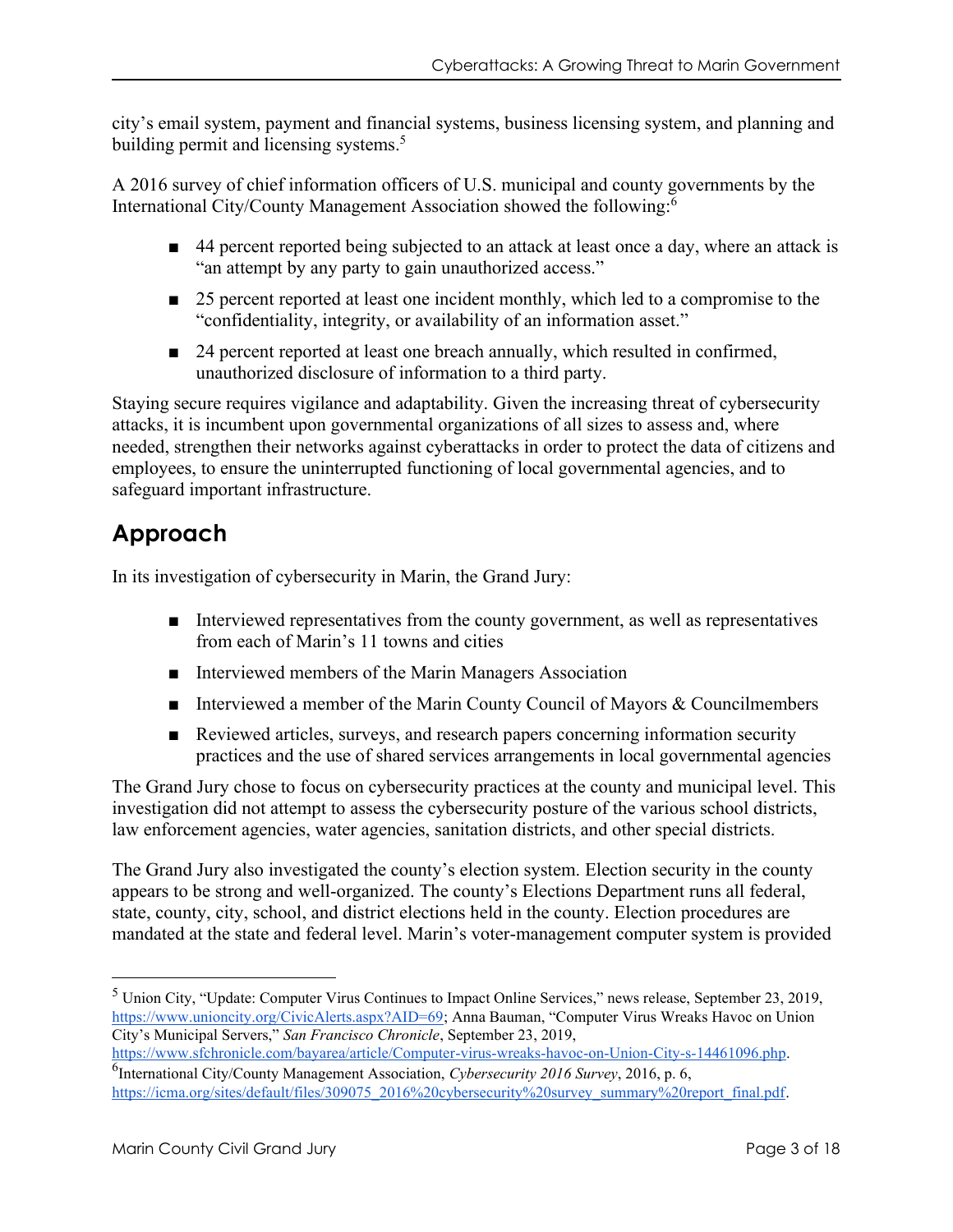city's email system, payment and financial systems, business licensing system, and planning and building permit and licensing systems.<sup>5</sup>

A 2016 survey of chief information officers of U.S. municipal and county governments by the International City/County Management Association showed the following:<sup>6</sup>

- 44 percent reported being subjected to an attack at least once a day, where an attack is "an attempt by any party to gain unauthorized access."
- 25 percent reported at least one incident monthly, which led to a compromise to the "confidentiality, integrity, or availability of an information asset."
- 24 percent reported at least one breach annually, which resulted in confirmed, unauthorized disclosure of information to a third party.

Staying secure requires vigilance and adaptability. Given the increasing threat of cybersecurity attacks, it is incumbent upon governmental organizations of all sizes to assess and, where needed, strengthen their networks against cyberattacks in order to protect the data of citizens and employees, to ensure the uninterrupted functioning of local governmental agencies, and to safeguard important infrastructure.

# **Approach**

In its investigation of cybersecurity in Marin, the Grand Jury:

- Interviewed representatives from the county government, as well as representatives from each of Marin's 11 towns and cities
- Interviewed members of the Marin Managers Association
- Interviewed a member of the Marin County Council of Mayors & Councilmembers
- Reviewed articles, surveys, and research papers concerning information security practices and the use of shared services arrangements in local governmental agencies

The Grand Jury chose to focus on cybersecurity practices at the county and municipal level. This investigation did not attempt to assess the cybersecurity posture of the various school districts, law enforcement agencies, water agencies, sanitation districts, and other special districts.

The Grand Jury also investigated the county's election system. Election security in the county appears to be strong and well-organized. The county's Elections Department runs all federal, state, county, city, school, and district elections held in the county. Election procedures are mandated at the state and federal level. Marin's voter-management computer system is provided

<sup>5</sup> Union City, "Update: Computer Virus Continues to Impact Online Services," news release, September 23, 2019, <https://www.unioncity.org/CivicAlerts.aspx?AID=69>; Anna Bauman, "Computer Virus Wreaks Havoc on Union City's Municipal Servers," *San Francisco Chronicle*, September 23, 2019,

[https://www.sfchronicle.com/bayarea/article/Computer-virus-wreaks-havoc-on-Union-City-s-14461096.php.](https://www.sfchronicle.com/bayarea/article/Computer-virus-wreaks-havoc-on-Union-City-s-14461096.php) 6 International City/County Management Association, *Cybersecurity 2016 Survey*, 2016, p. 6, [https://icma.org/sites/default/files/309075\\_2016%20cybersecurity%20survey\\_summary%20report\\_final.pdf.](https://icma.org/sites/default/files/309075_2016%20cybersecurity%20survey_summary%20report_final.pdf)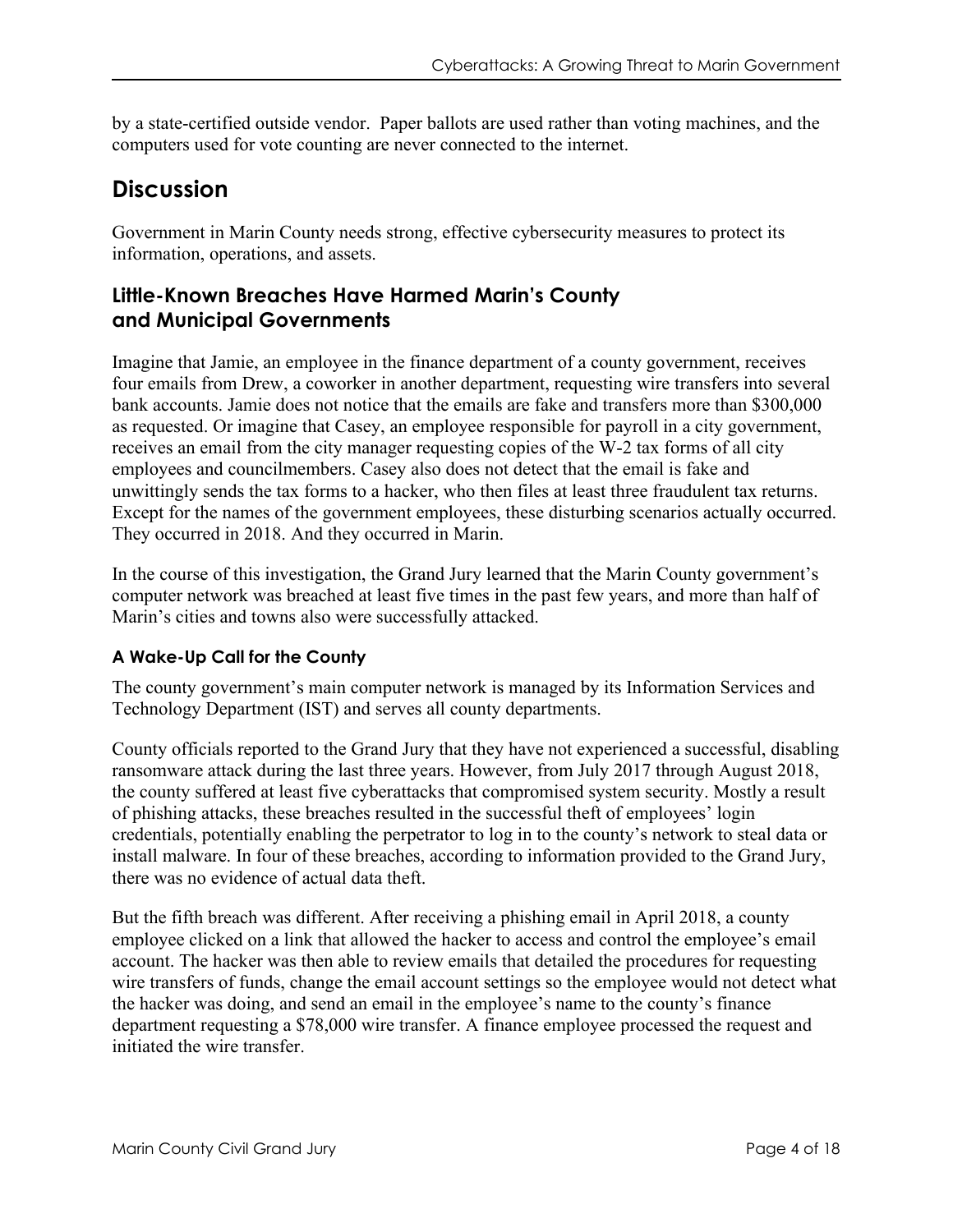by a state-certified outside vendor. Paper ballots are used rather than voting machines, and the computers used for vote counting are never connected to the internet.

# **Discussion**

Government in Marin County needs strong, effective cybersecurity measures to protect its information, operations, and assets.

## **Little-Known Breaches Have Harmed Marin's County and Municipal Governments**

Imagine that Jamie, an employee in the finance department of a county government, receives four emails from Drew, a coworker in another department, requesting wire transfers into several bank accounts. Jamie does not notice that the emails are fake and transfers more than \$300,000 as requested. Or imagine that Casey, an employee responsible for payroll in a city government, receives an email from the city manager requesting copies of the W-2 tax forms of all city employees and councilmembers. Casey also does not detect that the email is fake and unwittingly sends the tax forms to a hacker, who then files at least three fraudulent tax returns. Except for the names of the government employees, these disturbing scenarios actually occurred. They occurred in 2018. And they occurred in Marin.

In the course of this investigation, the Grand Jury learned that the Marin County government's computer network was breached at least five times in the past few years, and more than half of Marin's cities and towns also were successfully attacked.

### **A Wake-Up Call for the County**

The county government's main computer network is managed by its Information Services and Technology Department (IST) and serves all county departments.

County officials reported to the Grand Jury that they have not experienced a successful, disabling ransomware attack during the last three years. However, from July 2017 through August 2018, the county suffered at least five cyberattacks that compromised system security. Mostly a result of phishing attacks, these breaches resulted in the successful theft of employees' login credentials, potentially enabling the perpetrator to log in to the county's network to steal data or install malware. In four of these breaches, according to information provided to the Grand Jury, there was no evidence of actual data theft.

But the fifth breach was different. After receiving a phishing email in April 2018, a county employee clicked on a link that allowed the hacker to access and control the employee's email account. The hacker was then able to review emails that detailed the procedures for requesting wire transfers of funds, change the email account settings so the employee would not detect what the hacker was doing, and send an email in the employee's name to the county's finance department requesting a \$78,000 wire transfer. A finance employee processed the request and initiated the wire transfer.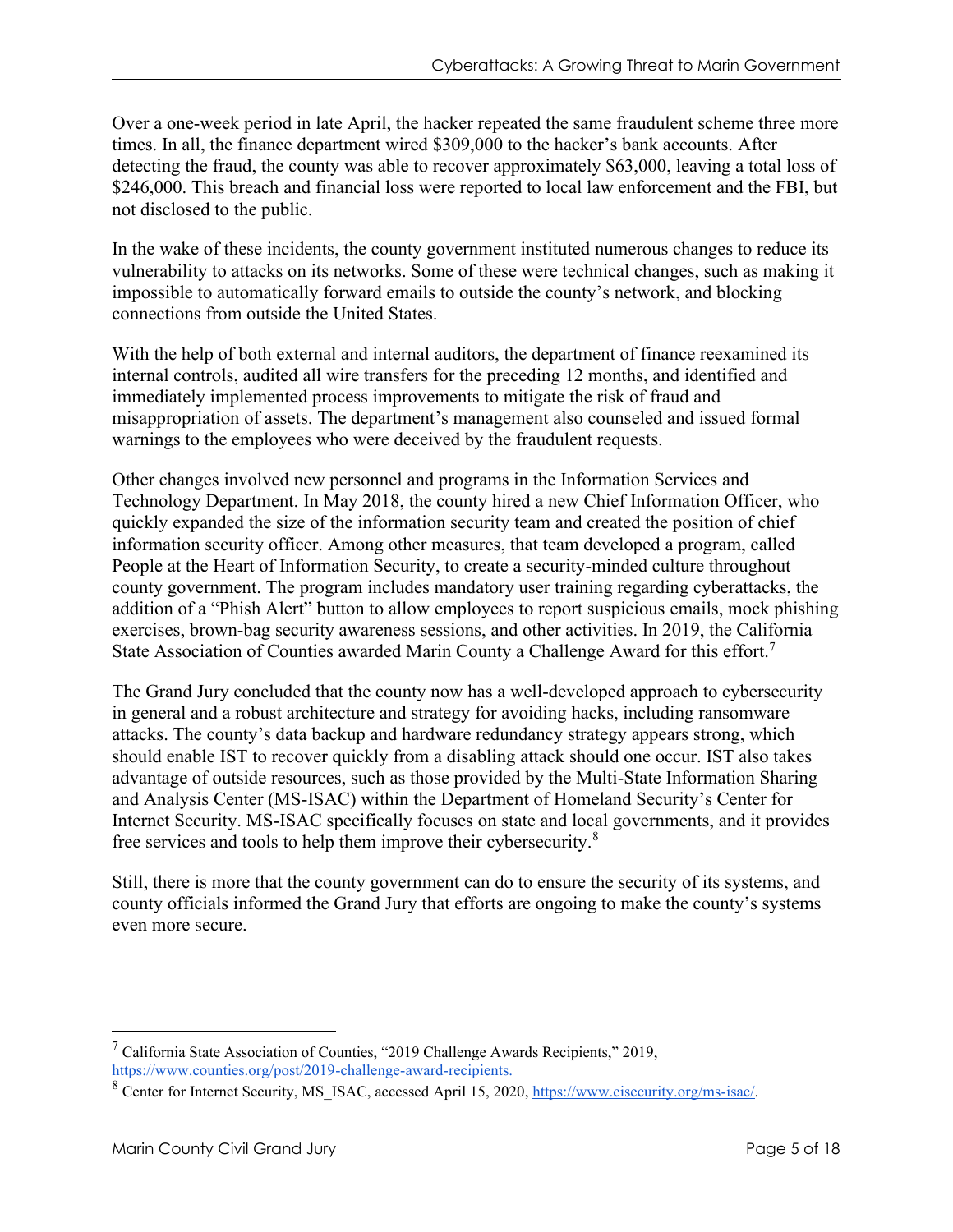Over a one-week period in late April, the hacker repeated the same fraudulent scheme three more times. In all, the finance department wired \$309,000 to the hacker's bank accounts. After detecting the fraud, the county was able to recover approximately \$63,000, leaving a total loss of \$246,000. This breach and financial loss were reported to local law enforcement and the FBI, but not disclosed to the public.

In the wake of these incidents, the county government instituted numerous changes to reduce its vulnerability to attacks on its networks. Some of these were technical changes, such as making it impossible to automatically forward emails to outside the county's network, and blocking connections from outside the United States.

With the help of both external and internal auditors, the department of finance reexamined its internal controls, audited all wire transfers for the preceding 12 months, and identified and immediately implemented process improvements to mitigate the risk of fraud and misappropriation of assets. The department's management also counseled and issued formal warnings to the employees who were deceived by the fraudulent requests.

Other changes involved new personnel and programs in the Information Services and Technology Department. In May 2018, the county hired a new Chief Information Officer, who quickly expanded the size of the information security team and created the position of chief information security officer. Among other measures, that team developed a program, called People at the Heart of Information Security, to create a security-minded culture throughout county government. The program includes mandatory user training regarding cyberattacks, the addition of a "Phish Alert" button to allow employees to report suspicious emails, mock phishing exercises, brown-bag security awareness sessions, and other activities. In 2019, the California State Association of Counties awarded Marin County a Challenge Award for this effort.<sup>7</sup>

The Grand Jury concluded that the county now has a well-developed approach to cybersecurity in general and a robust architecture and strategy for avoiding hacks, including ransomware attacks. The county's data backup and hardware redundancy strategy appears strong, which should enable IST to recover quickly from a disabling attack should one occur. IST also takes advantage of outside resources, such as those provided by the Multi-State Information Sharing and Analysis Center (MS-ISAC) within the Department of Homeland Security's Center for Internet Security. MS-ISAC specifically focuses on state and local governments, and it provides free services and tools to help them improve their cybersecurity.<sup>8</sup>

Still, there is more that the county government can do to ensure the security of its systems, and county officials informed the Grand Jury that efforts are ongoing to make the county's systems even more secure.

 $7$  California State Association of Counties, "2019 Challenge Awards Recipients," 2019, [https://www.counties.org/post/2019-challenge-award-recipients.](https://www.counties.org/post/2019-challenge-award-recipients)

<sup>8</sup> Center for Internet Security, MS\_ISAC, accessed April 15, 2020, [https://www.cisecurity.org/ms-isac/.](https://www.cisecurity.org/ms-isac/)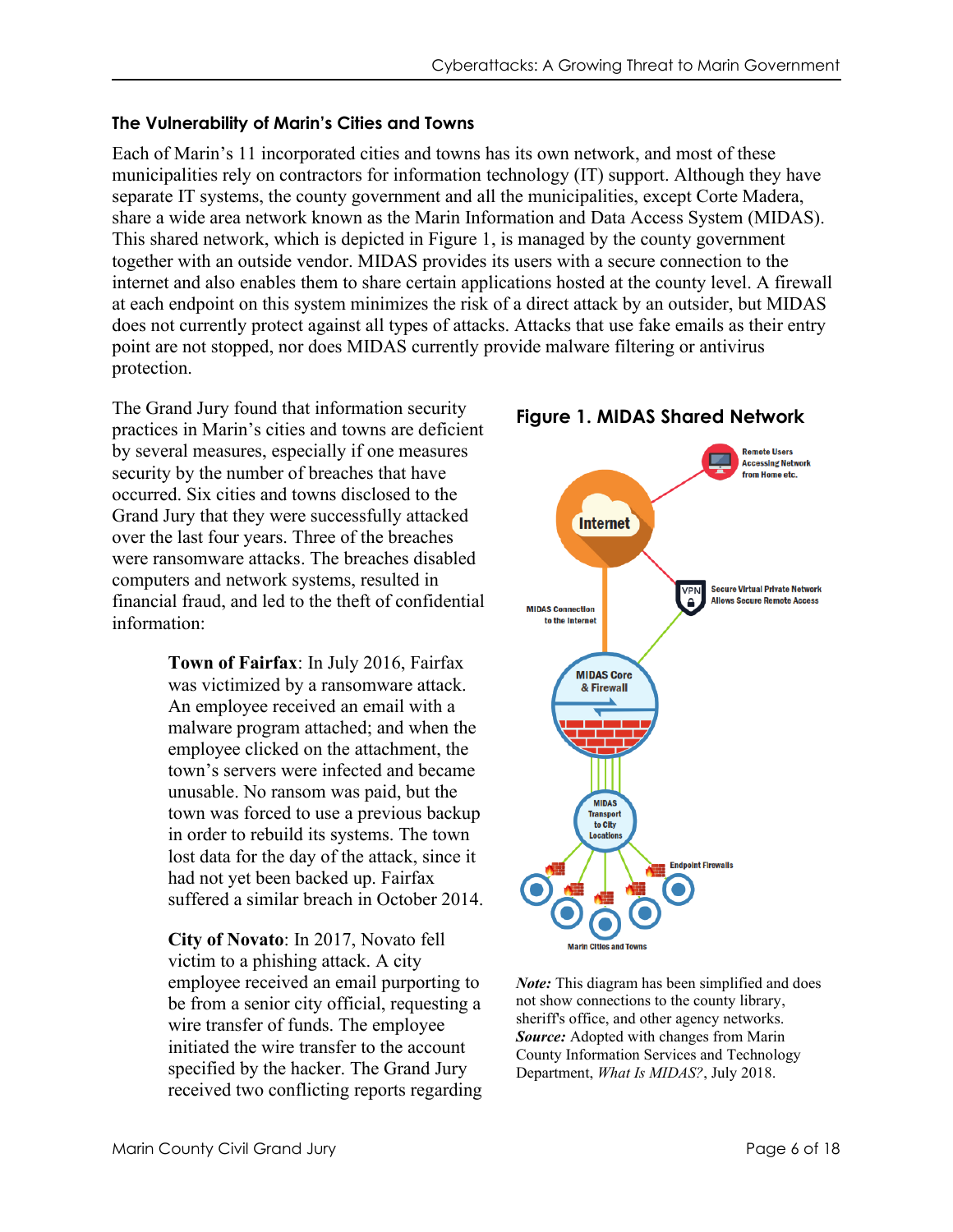#### **The Vulnerability of Marin's Cities and Towns**

Each of Marin's 11 incorporated cities and towns has its own network, and most of these municipalities rely on contractors for information technology (IT) support. Although they have separate IT systems, the county government and all the municipalities, except Corte Madera, share a wide area network known as the Marin Information and Data Access System (MIDAS). This shared network, which is depicted in Figure 1, is managed by the county government together with an outside vendor. MIDAS provides its users with a secure connection to the internet and also enables them to share certain applications hosted at the county level. A firewall at each endpoint on this system minimizes the risk of a direct attack by an outsider, but MIDAS does not currently protect against all types of attacks. Attacks that use fake emails as their entry point are not stopped, nor does MIDAS currently provide malware filtering or antivirus protection.

The Grand Jury found that information security practices in Marin's cities and towns are deficient by several measures, especially if one measures security by the number of breaches that have occurred. Six cities and towns disclosed to the Grand Jury that they were successfully attacked over the last four years. Three of the breaches were ransomware attacks. The breaches disabled computers and network systems, resulted in financial fraud, and led to the theft of confidential information:

> **Town of Fairfax**: In July 2016, Fairfax was victimized by a ransomware attack. An employee received an email with a malware program attached; and when the employee clicked on the attachment, the town's servers were infected and became unusable. No ransom was paid, but the town was forced to use a previous backup in order to rebuild its systems. The town lost data for the day of the attack, since it had not yet been backed up. Fairfax suffered a similar breach in October 2014.

> **City of Novato**: In 2017, Novato fell victim to a phishing attack. A city employee received an email purporting to be from a senior city official, requesting a wire transfer of funds. The employee initiated the wire transfer to the account specified by the hacker. The Grand Jury received two conflicting reports regarding



*Note:* This diagram has been simplified and does not show connections to the county library, sheriff's office, and other agency networks. *Source:* Adopted with changes from Marin County Information Services and Technology Department, *What Is MIDAS?*, July 2018.

### **Figure 1. MIDAS Shared Network**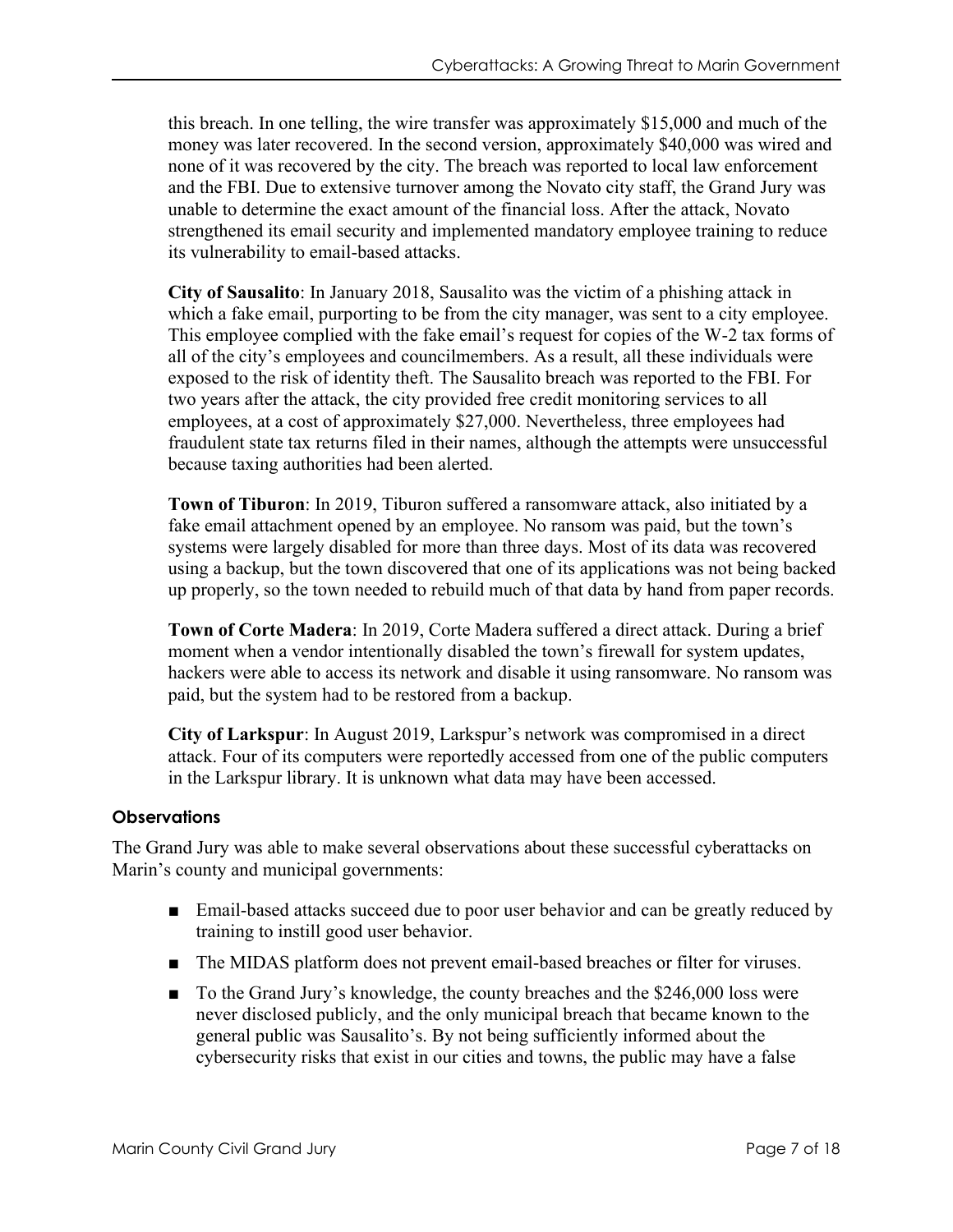this breach. In one telling, the wire transfer was approximately \$15,000 and much of the money was later recovered. In the second version, approximately \$40,000 was wired and none of it was recovered by the city. The breach was reported to local law enforcement and the FBI. Due to extensive turnover among the Novato city staff, the Grand Jury was unable to determine the exact amount of the financial loss. After the attack, Novato strengthened its email security and implemented mandatory employee training to reduce its vulnerability to email-based attacks.

**City of Sausalito**: In January 2018, Sausalito was the victim of a phishing attack in which a fake email, purporting to be from the city manager, was sent to a city employee. This employee complied with the fake email's request for copies of the W-2 tax forms of all of the city's employees and councilmembers. As a result, all these individuals were exposed to the risk of identity theft. The Sausalito breach was reported to the FBI. For two years after the attack, the city provided free credit monitoring services to all employees, at a cost of approximately \$27,000. Nevertheless, three employees had fraudulent state tax returns filed in their names, although the attempts were unsuccessful because taxing authorities had been alerted.

**Town of Tiburon**: In 2019, Tiburon suffered a ransomware attack, also initiated by a fake email attachment opened by an employee. No ransom was paid, but the town's systems were largely disabled for more than three days. Most of its data was recovered using a backup, but the town discovered that one of its applications was not being backed up properly, so the town needed to rebuild much of that data by hand from paper records.

**Town of Corte Madera**: In 2019, Corte Madera suffered a direct attack. During a brief moment when a vendor intentionally disabled the town's firewall for system updates, hackers were able to access its network and disable it using ransomware. No ransom was paid, but the system had to be restored from a backup.

**City of Larkspur**: In August 2019, Larkspur's network was compromised in a direct attack. Four of its computers were reportedly accessed from one of the public computers in the Larkspur library. It is unknown what data may have been accessed.

### **Observations**

The Grand Jury was able to make several observations about these successful cyberattacks on Marin's county and municipal governments:

- Email-based attacks succeed due to poor user behavior and can be greatly reduced by training to instill good user behavior.
- The MIDAS platform does not prevent email-based breaches or filter for viruses.
- To the Grand Jury's knowledge, the county breaches and the \$246,000 loss were never disclosed publicly, and the only municipal breach that became known to the general public was Sausalito's. By not being sufficiently informed about the cybersecurity risks that exist in our cities and towns, the public may have a false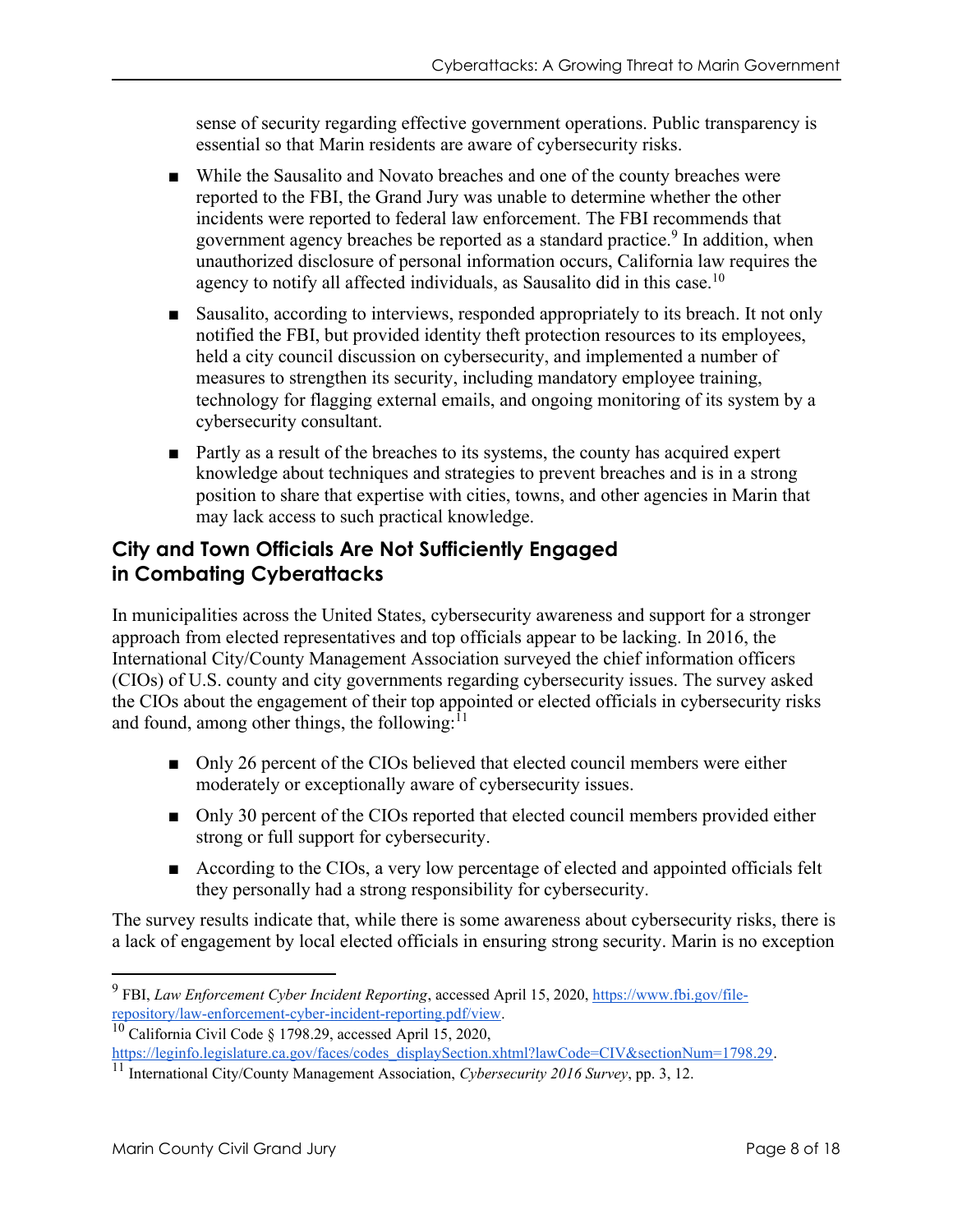sense of security regarding effective government operations. Public transparency is essential so that Marin residents are aware of cybersecurity risks.

- While the Sausalito and Novato breaches and one of the county breaches were reported to the FBI, the Grand Jury was unable to determine whether the other incidents were reported to federal law enforcement. The FBI recommends that government agency breaches be reported as a standard practice.<sup>9</sup> In addition, when unauthorized disclosure of personal information occurs, California law requires the agency to notify all affected individuals, as Sausalito did in this case.<sup>10</sup>
- Sausalito, according to interviews, responded appropriately to its breach. It not only notified the FBI, but provided identity theft protection resources to its employees, held a city council discussion on cybersecurity, and implemented a number of measures to strengthen its security, including mandatory employee training, technology for flagging external emails, and ongoing monitoring of its system by a cybersecurity consultant.
- Partly as a result of the breaches to its systems, the county has acquired expert knowledge about techniques and strategies to prevent breaches and is in a strong position to share that expertise with cities, towns, and other agencies in Marin that may lack access to such practical knowledge.

## **City and Town Officials Are Not Sufficiently Engaged in Combating Cyberattacks**

In municipalities across the United States, cybersecurity awareness and support for a stronger approach from elected representatives and top officials appear to be lacking. In 2016, the International City/County Management Association surveyed the chief information officers (CIOs) of U.S. county and city governments regarding cybersecurity issues. The survey asked the CIOs about the engagement of their top appointed or elected officials in cybersecurity risks and found, among other things, the following: $11$ 

- Only 26 percent of the CIOs believed that elected council members were either moderately or exceptionally aware of cybersecurity issues.
- Only 30 percent of the CIOs reported that elected council members provided either strong or full support for cybersecurity.
- According to the CIOs, a very low percentage of elected and appointed officials felt they personally had a strong responsibility for cybersecurity.

The survey results indicate that, while there is some awareness about cybersecurity risks, there is a lack of engagement by local elected officials in ensuring strong security. Marin is no exception

<sup>&</sup>lt;sup>9</sup> FBI, *Law Enforcement Cyber Incident Reporting*, accessed April 15, 2020[, https://www.fbi.gov/file](https://www.fbi.gov/file-repository/law-enforcement-cyber-incident-reporting.pdf/view)[repository/law-enforcement-cyber-incident-reporting.pdf/view.](https://www.fbi.gov/file-repository/law-enforcement-cyber-incident-reporting.pdf/view)

<sup>&</sup>lt;sup>10</sup> California Civil Code § 1798.29, accessed April 15, 2020,

[https://leginfo.legislature.ca.gov/faces/codes\\_displaySection.xhtml?lawCode=CIV&sectionNum=1798.29.](https://leginfo.legislature.ca.gov/faces/codes_displaySection.xhtml?lawCode=CIV§ionNum=1798.29)

<sup>11</sup> International City/County Management Association, *Cybersecurity 2016 Survey*, pp. 3, 12.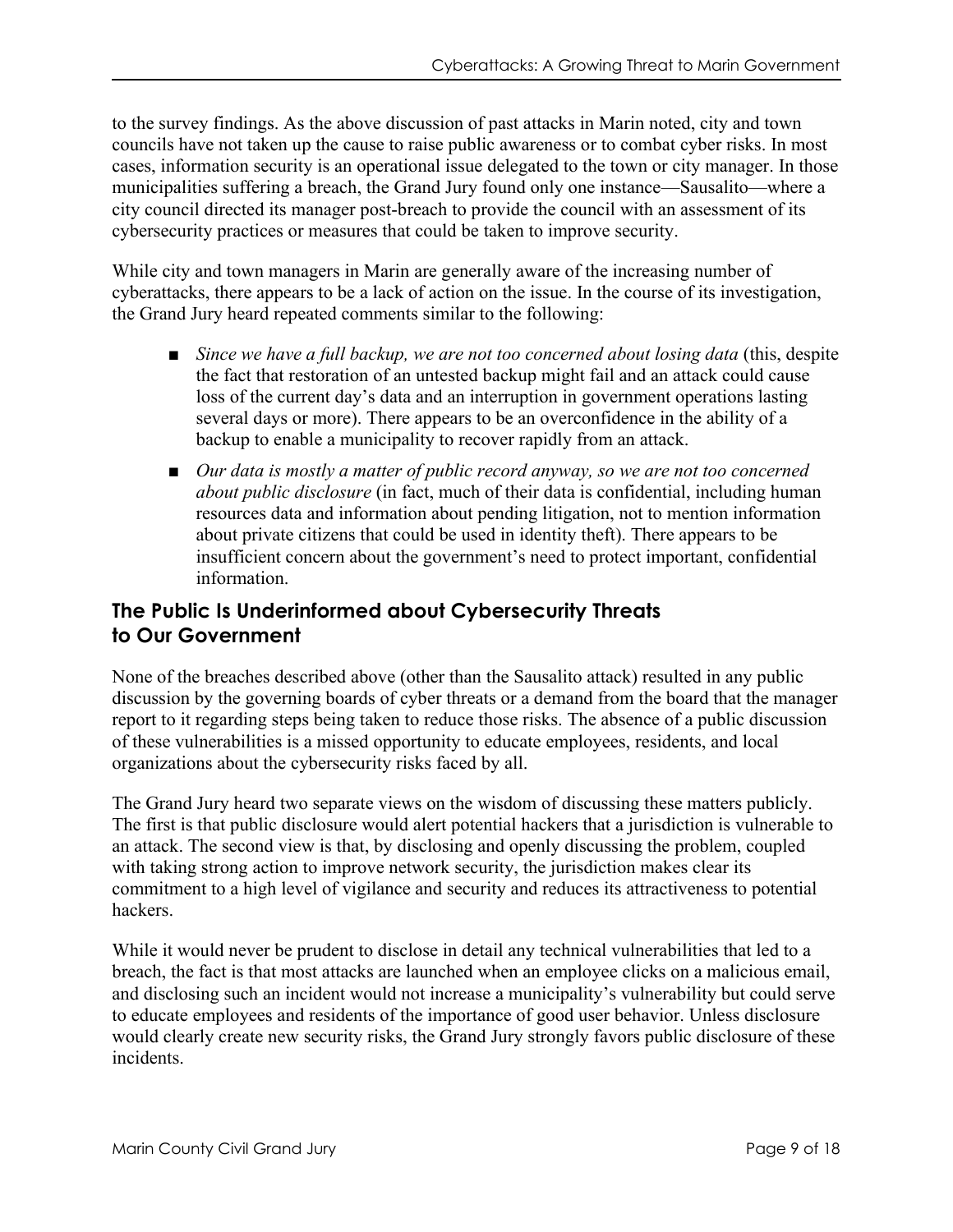to the survey findings. As the above discussion of past attacks in Marin noted, city and town councils have not taken up the cause to raise public awareness or to combat cyber risks. In most cases, information security is an operational issue delegated to the town or city manager. In those municipalities suffering a breach, the Grand Jury found only one instance—Sausalito—where a city council directed its manager post-breach to provide the council with an assessment of its cybersecurity practices or measures that could be taken to improve security.

While city and town managers in Marin are generally aware of the increasing number of cyberattacks, there appears to be a lack of action on the issue. In the course of its investigation, the Grand Jury heard repeated comments similar to the following:

- *Since we have a full backup, we are not too concerned about losing data* (this, despite the fact that restoration of an untested backup might fail and an attack could cause loss of the current day's data and an interruption in government operations lasting several days or more). There appears to be an overconfidence in the ability of a backup to enable a municipality to recover rapidly from an attack.
- *Our data is mostly a matter of public record anyway, so we are not too concerned about public disclosure* (in fact, much of their data is confidential, including human resources data and information about pending litigation, not to mention information about private citizens that could be used in identity theft). There appears to be insufficient concern about the government's need to protect important, confidential information.

# **The Public Is Underinformed about Cybersecurity Threats to Our Government**

None of the breaches described above (other than the Sausalito attack) resulted in any public discussion by the governing boards of cyber threats or a demand from the board that the manager report to it regarding steps being taken to reduce those risks. The absence of a public discussion of these vulnerabilities is a missed opportunity to educate employees, residents, and local organizations about the cybersecurity risks faced by all.

The Grand Jury heard two separate views on the wisdom of discussing these matters publicly. The first is that public disclosure would alert potential hackers that a jurisdiction is vulnerable to an attack. The second view is that, by disclosing and openly discussing the problem, coupled with taking strong action to improve network security, the jurisdiction makes clear its commitment to a high level of vigilance and security and reduces its attractiveness to potential hackers.

While it would never be prudent to disclose in detail any technical vulnerabilities that led to a breach, the fact is that most attacks are launched when an employee clicks on a malicious email, and disclosing such an incident would not increase a municipality's vulnerability but could serve to educate employees and residents of the importance of good user behavior. Unless disclosure would clearly create new security risks, the Grand Jury strongly favors public disclosure of these incidents.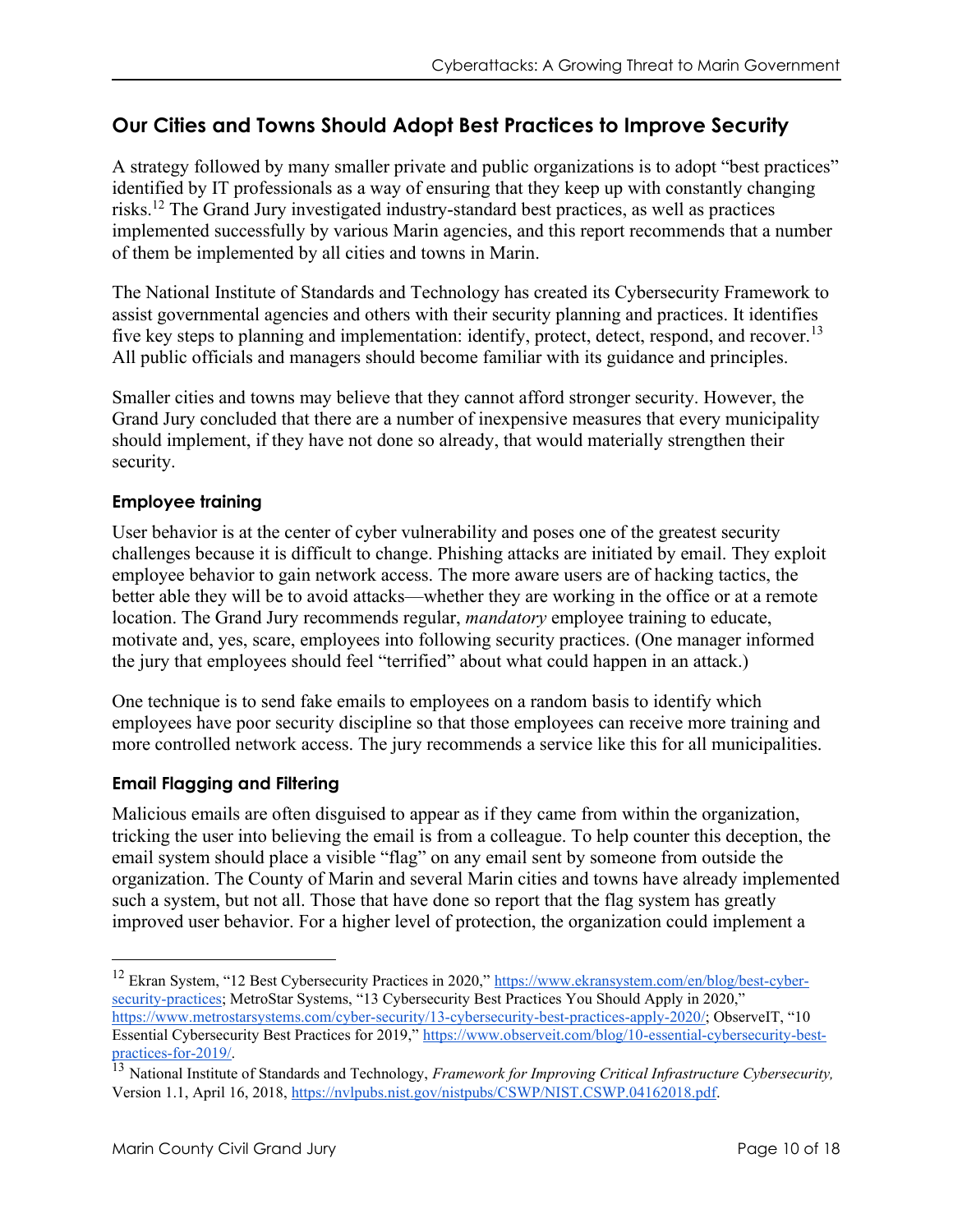# **Our Cities and Towns Should Adopt Best Practices to Improve Security**

A strategy followed by many smaller private and public organizations is to adopt "best practices" identified by IT professionals as a way of ensuring that they keep up with constantly changing risks.<sup>12</sup> The Grand Jury investigated industry-standard best practices, as well as practices implemented successfully by various Marin agencies, and this report recommends that a number of them be implemented by all cities and towns in Marin.

The National Institute of Standards and Technology has created its Cybersecurity Framework to assist governmental agencies and others with their security planning and practices. It identifies five key steps to planning and implementation: identify, protect, detect, respond, and recover.<sup>13</sup> All public officials and managers should become familiar with its guidance and principles.

Smaller cities and towns may believe that they cannot afford stronger security. However, the Grand Jury concluded that there are a number of inexpensive measures that every municipality should implement, if they have not done so already, that would materially strengthen their security.

### **Employee training**

User behavior is at the center of cyber vulnerability and poses one of the greatest security challenges because it is difficult to change. Phishing attacks are initiated by email. They exploit employee behavior to gain network access. The more aware users are of hacking tactics, the better able they will be to avoid attacks—whether they are working in the office or at a remote location. The Grand Jury recommends regular, *mandatory* employee training to educate, motivate and, yes, scare, employees into following security practices. (One manager informed the jury that employees should feel "terrified" about what could happen in an attack.)

One technique is to send fake emails to employees on a random basis to identify which employees have poor security discipline so that those employees can receive more training and more controlled network access. The jury recommends a service like this for all municipalities.

### **Email Flagging and Filtering**

Malicious emails are often disguised to appear as if they came from within the organization, tricking the user into believing the email is from a colleague. To help counter this deception, the email system should place a visible "flag" on any email sent by someone from outside the organization. The County of Marin and several Marin cities and towns have already implemented such a system, but not all. Those that have done so report that the flag system has greatly improved user behavior. For a higher level of protection, the organization could implement a

<sup>&</sup>lt;sup>12</sup> Ekran System, "12 Best Cybersecurity Practices in 2020," [https://www.ekransystem.com/en/blog/best-cyber](https://www.ekransystem.com/en/blog/best-cyber-security-practices)[security-practices](https://www.ekransystem.com/en/blog/best-cyber-security-practices); MetroStar Systems, "13 Cybersecurity Best Practices You Should Apply in 2020," <https://www.metrostarsystems.com/cyber-security/13-cybersecurity-best-practices-apply-2020/>; ObserveIT, "10 Essential Cybersecurity Best Practices for 2019," [https://www.observeit.com/blog/10-essential-cybersecurity-best](https://www.observeit.com/blog/10-essential-cybersecurity-best-practices-for-2019/)[practices-for-2019/.](https://www.observeit.com/blog/10-essential-cybersecurity-best-practices-for-2019/)

<sup>13</sup> National Institute of Standards and Technology, *Framework for Improving Critical Infrastructure Cybersecurity,*  Version 1.1, April 16, 2018, [https://nvlpubs.nist.gov/nistpubs/CSWP/NIST.CSWP.04162018.pdf.](https://nvlpubs.nist.gov/nistpubs/CSWP/NIST.CSWP.04162018.pdf)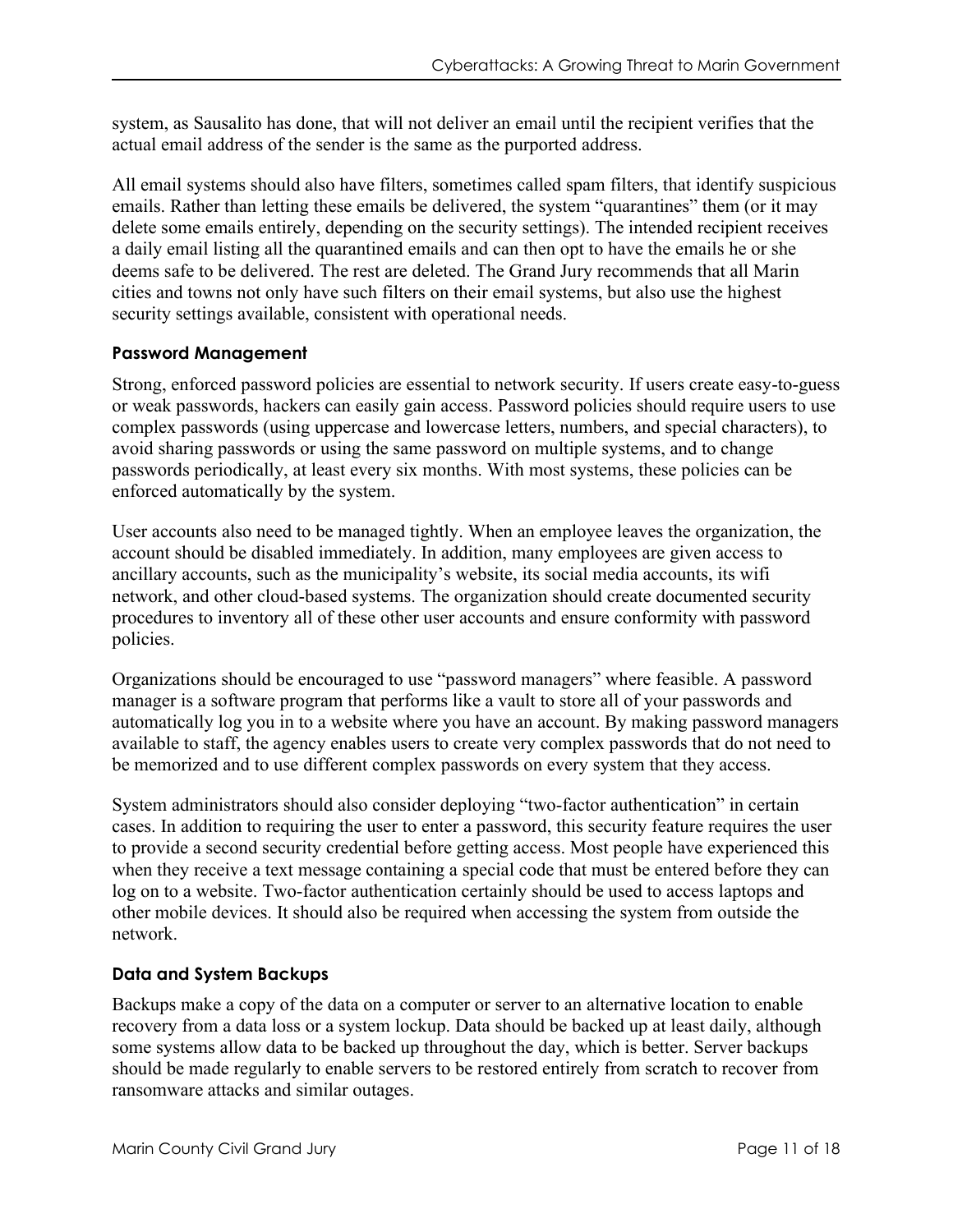system, as Sausalito has done, that will not deliver an email until the recipient verifies that the actual email address of the sender is the same as the purported address.

All email systems should also have filters, sometimes called spam filters, that identify suspicious emails. Rather than letting these emails be delivered, the system "quarantines" them (or it may delete some emails entirely, depending on the security settings). The intended recipient receives a daily email listing all the quarantined emails and can then opt to have the emails he or she deems safe to be delivered. The rest are deleted. The Grand Jury recommends that all Marin cities and towns not only have such filters on their email systems, but also use the highest security settings available, consistent with operational needs.

#### **Password Management**

Strong, enforced password policies are essential to network security. If users create easy-to-guess or weak passwords, hackers can easily gain access. Password policies should require users to use complex passwords (using uppercase and lowercase letters, numbers, and special characters), to avoid sharing passwords or using the same password on multiple systems, and to change passwords periodically, at least every six months. With most systems, these policies can be enforced automatically by the system.

User accounts also need to be managed tightly. When an employee leaves the organization, the account should be disabled immediately. In addition, many employees are given access to ancillary accounts, such as the municipality's website, its social media accounts, its wifi network, and other cloud-based systems. The organization should create documented security procedures to inventory all of these other user accounts and ensure conformity with password policies.

Organizations should be encouraged to use "password managers" where feasible. A password manager is a software program that performs like a vault to store all of your passwords and automatically log you in to a website where you have an account. By making password managers available to staff, the agency enables users to create very complex passwords that do not need to be memorized and to use different complex passwords on every system that they access.

System administrators should also consider deploying "two-factor authentication" in certain cases. In addition to requiring the user to enter a password, this security feature requires the user to provide a second security credential before getting access. Most people have experienced this when they receive a text message containing a special code that must be entered before they can log on to a website. Two-factor authentication certainly should be used to access laptops and other mobile devices. It should also be required when accessing the system from outside the network.

### **Data and System Backups**

Backups make a copy of the data on a computer or server to an alternative location to enable recovery from a data loss or a system lockup. Data should be backed up at least daily, although some systems allow data to be backed up throughout the day, which is better. Server backups should be made regularly to enable servers to be restored entirely from scratch to recover from ransomware attacks and similar outages.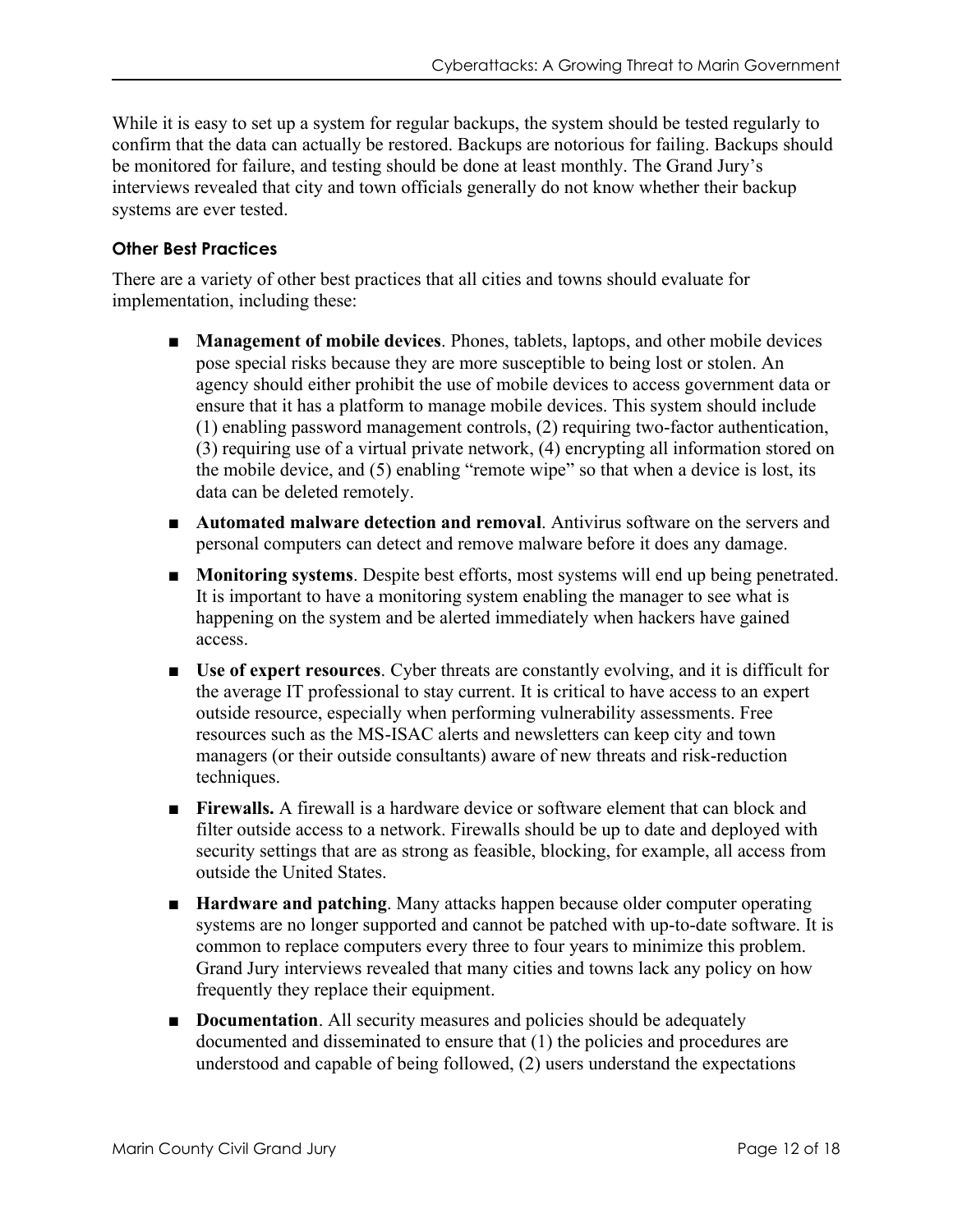While it is easy to set up a system for regular backups, the system should be tested regularly to confirm that the data can actually be restored. Backups are notorious for failing. Backups should be monitored for failure, and testing should be done at least monthly. The Grand Jury's interviews revealed that city and town officials generally do not know whether their backup systems are ever tested.

#### **Other Best Practices**

There are a variety of other best practices that all cities and towns should evaluate for implementation, including these:

- **Management of mobile devices**. Phones, tablets, laptops, and other mobile devices pose special risks because they are more susceptible to being lost or stolen. An agency should either prohibit the use of mobile devices to access government data or ensure that it has a platform to manage mobile devices. This system should include (1) enabling password management controls, (2) requiring two-factor authentication, (3) requiring use of a virtual private network, (4) encrypting all information stored on the mobile device, and (5) enabling "remote wipe" so that when a device is lost, its data can be deleted remotely.
- **Automated malware detection and removal**. Antivirus software on the servers and personal computers can detect and remove malware before it does any damage.
- **Monitoring systems**. Despite best efforts, most systems will end up being penetrated. It is important to have a monitoring system enabling the manager to see what is happening on the system and be alerted immediately when hackers have gained access.
- **Use of expert resources**. Cyber threats are constantly evolving, and it is difficult for the average IT professional to stay current. It is critical to have access to an expert outside resource, especially when performing vulnerability assessments. Free resources such as the MS-ISAC alerts and newsletters can keep city and town managers (or their outside consultants) aware of new threats and risk-reduction techniques.
- **Firewalls.** A firewall is a hardware device or software element that can block and filter outside access to a network. Firewalls should be up to date and deployed with security settings that are as strong as feasible, blocking, for example, all access from outside the United States.
- **Hardware and patching**. Many attacks happen because older computer operating systems are no longer supported and cannot be patched with up-to-date software. It is common to replace computers every three to four years to minimize this problem. Grand Jury interviews revealed that many cities and towns lack any policy on how frequently they replace their equipment.
- **Documentation**. All security measures and policies should be adequately documented and disseminated to ensure that (1) the policies and procedures are understood and capable of being followed, (2) users understand the expectations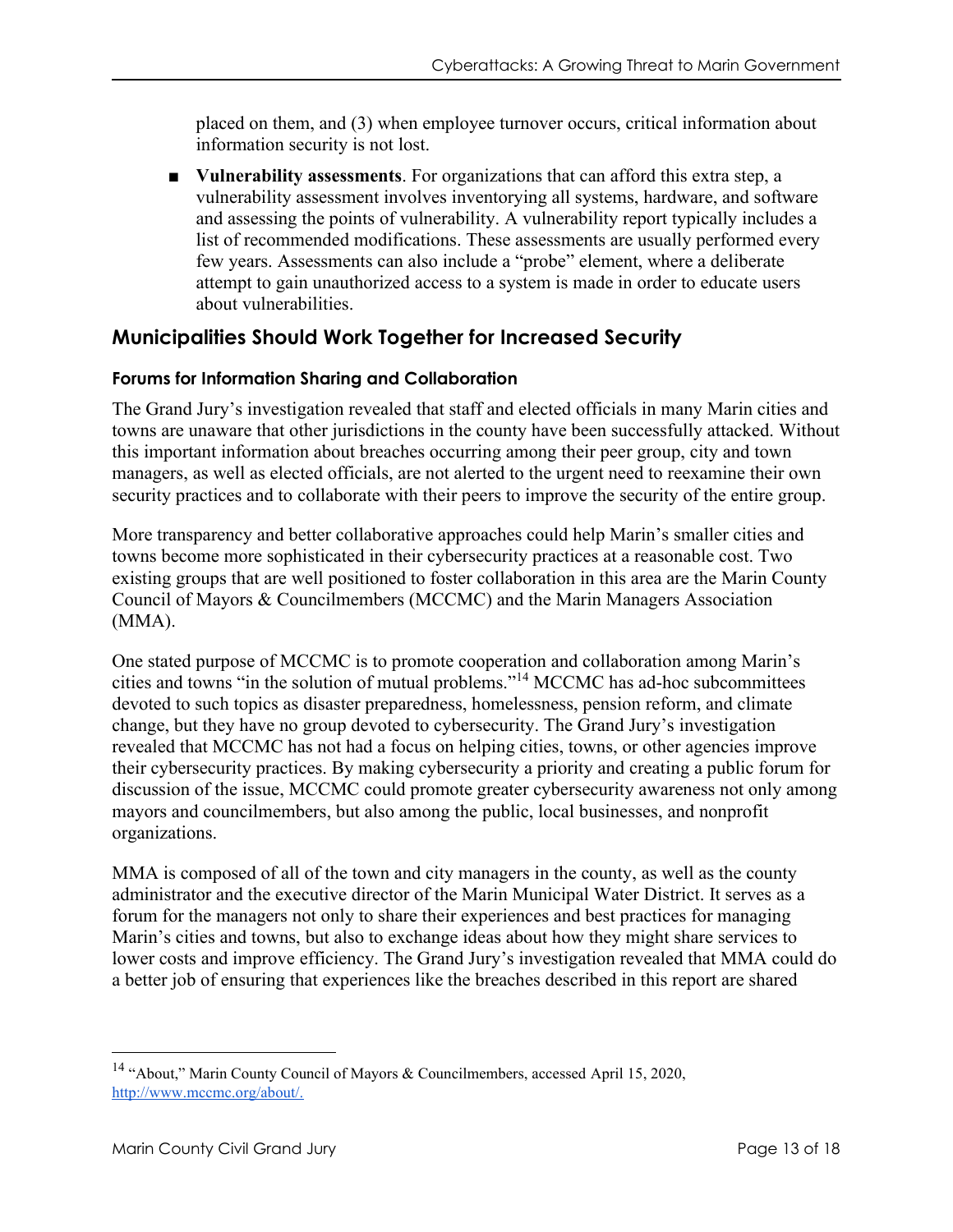placed on them, and (3) when employee turnover occurs, critical information about information security is not lost.

■ **Vulnerability assessments**. For organizations that can afford this extra step, a vulnerability assessment involves inventorying all systems, hardware, and software and assessing the points of vulnerability. A vulnerability report typically includes a list of recommended modifications. These assessments are usually performed every few years. Assessments can also include a "probe" element, where a deliberate attempt to gain unauthorized access to a system is made in order to educate users about vulnerabilities.

## **Municipalities Should Work Together for Increased Security**

#### **Forums for Information Sharing and Collaboration**

The Grand Jury's investigation revealed that staff and elected officials in many Marin cities and towns are unaware that other jurisdictions in the county have been successfully attacked. Without this important information about breaches occurring among their peer group, city and town managers, as well as elected officials, are not alerted to the urgent need to reexamine their own security practices and to collaborate with their peers to improve the security of the entire group.

More transparency and better collaborative approaches could help Marin's smaller cities and towns become more sophisticated in their cybersecurity practices at a reasonable cost. Two existing groups that are well positioned to foster collaboration in this area are the Marin County Council of Mayors & Councilmembers (MCCMC) and the Marin Managers Association (MMA).

One stated purpose of MCCMC is to promote cooperation and collaboration among Marin's cities and towns "in the solution of mutual problems."<sup>14</sup> MCCMC has ad-hoc subcommittees devoted to such topics as disaster preparedness, homelessness, pension reform, and climate change, but they have no group devoted to cybersecurity. The Grand Jury's investigation revealed that MCCMC has not had a focus on helping cities, towns, or other agencies improve their cybersecurity practices. By making cybersecurity a priority and creating a public forum for discussion of the issue, MCCMC could promote greater cybersecurity awareness not only among mayors and councilmembers, but also among the public, local businesses, and nonprofit organizations.

MMA is composed of all of the town and city managers in the county, as well as the county administrator and the executive director of the Marin Municipal Water District. It serves as a forum for the managers not only to share their experiences and best practices for managing Marin's cities and towns, but also to exchange ideas about how they might share services to lower costs and improve efficiency. The Grand Jury's investigation revealed that MMA could do a better job of ensuring that experiences like the breaches described in this report are shared

<sup>&</sup>lt;sup>14</sup> "About," Marin County Council of Mayors & Councilmembers, accessed April 15, 2020, [http://www.mccmc.org/about/.](http://www.mccmc.org/about/)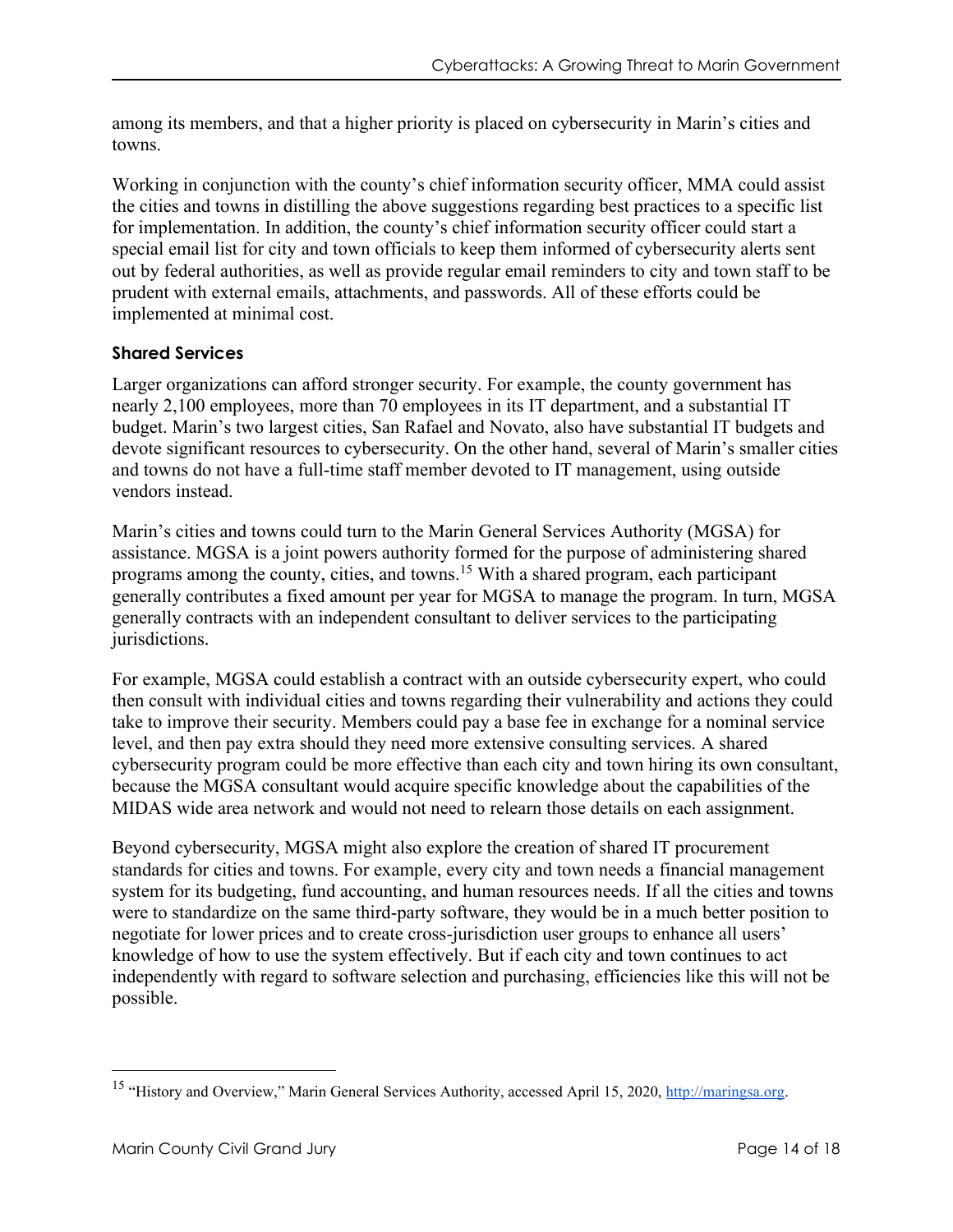among its members, and that a higher priority is placed on cybersecurity in Marin's cities and towns.

Working in conjunction with the county's chief information security officer, MMA could assist the cities and towns in distilling the above suggestions regarding best practices to a specific list for implementation. In addition, the county's chief information security officer could start a special email list for city and town officials to keep them informed of cybersecurity alerts sent out by federal authorities, as well as provide regular email reminders to city and town staff to be prudent with external emails, attachments, and passwords. All of these efforts could be implemented at minimal cost.

#### **Shared Services**

Larger organizations can afford stronger security. For example, the county government has nearly 2,100 employees, more than 70 employees in its IT department, and a substantial IT budget. Marin's two largest cities, San Rafael and Novato, also have substantial IT budgets and devote significant resources to cybersecurity. On the other hand, several of Marin's smaller cities and towns do not have a full-time staff member devoted to IT management, using outside vendors instead.

Marin's cities and towns could turn to the Marin General Services Authority (MGSA) for assistance. MGSA is a joint powers authority formed for the purpose of administering shared programs among the county, cities, and towns.<sup>15</sup> With a shared program, each participant generally contributes a fixed amount per year for MGSA to manage the program. In turn, MGSA generally contracts with an independent consultant to deliver services to the participating jurisdictions.

For example, MGSA could establish a contract with an outside cybersecurity expert, who could then consult with individual cities and towns regarding their vulnerability and actions they could take to improve their security. Members could pay a base fee in exchange for a nominal service level, and then pay extra should they need more extensive consulting services. A shared cybersecurity program could be more effective than each city and town hiring its own consultant, because the MGSA consultant would acquire specific knowledge about the capabilities of the MIDAS wide area network and would not need to relearn those details on each assignment.

Beyond cybersecurity, MGSA might also explore the creation of shared IT procurement standards for cities and towns. For example, every city and town needs a financial management system for its budgeting, fund accounting, and human resources needs. If all the cities and towns were to standardize on the same third-party software, they would be in a much better position to negotiate for lower prices and to create cross-jurisdiction user groups to enhance all users' knowledge of how to use the system effectively. But if each city and town continues to act independently with regard to software selection and purchasing, efficiencies like this will not be possible.

<sup>15</sup> "History and Overview," Marin General Services Authority, accessed April 15, 2020[, http://maringsa.org.](http://maringsa.org/)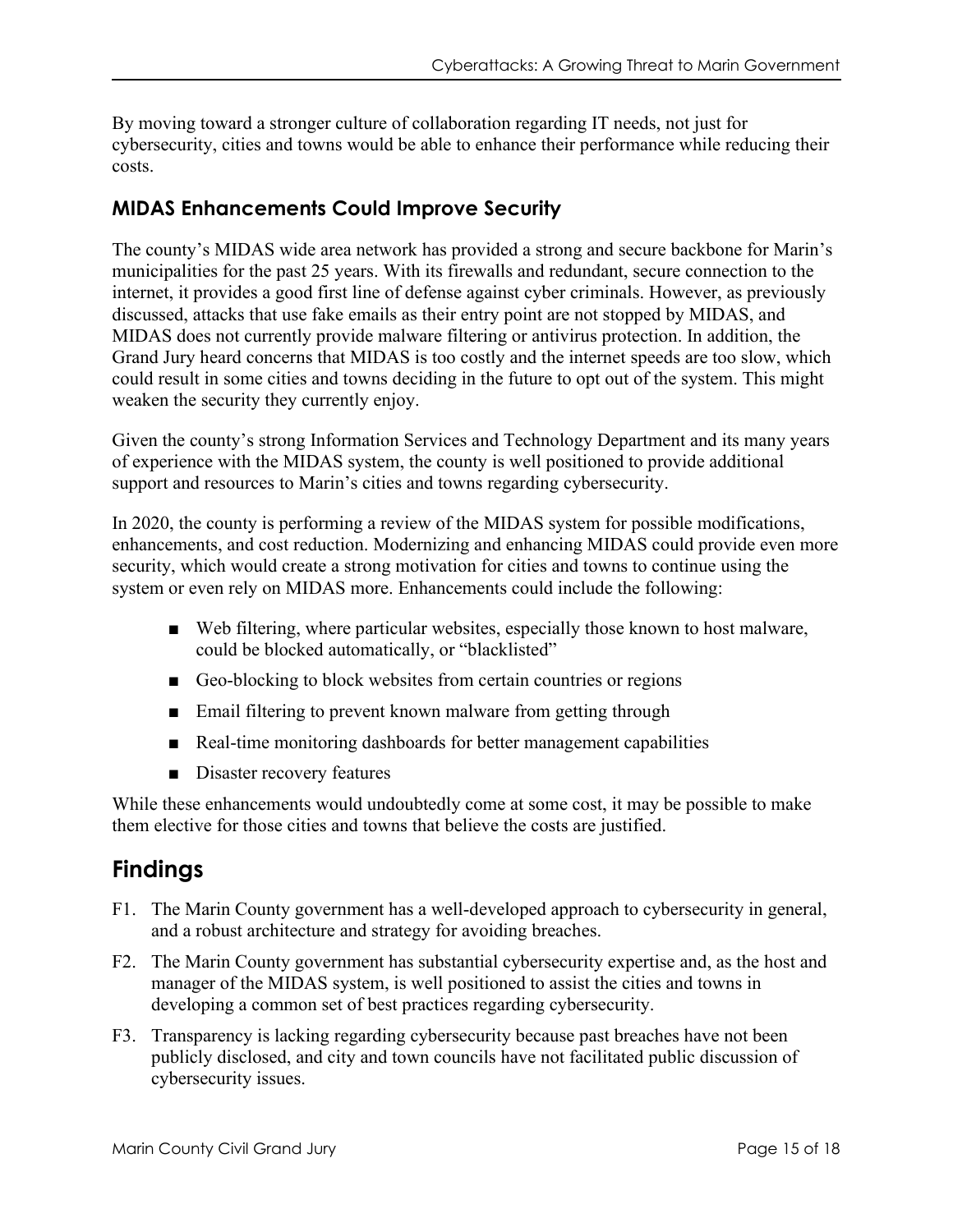By moving toward a stronger culture of collaboration regarding IT needs, not just for cybersecurity, cities and towns would be able to enhance their performance while reducing their costs.

## **MIDAS Enhancements Could Improve Security**

The county's MIDAS wide area network has provided a strong and secure backbone for Marin's municipalities for the past 25 years. With its firewalls and redundant, secure connection to the internet, it provides a good first line of defense against cyber criminals. However, as previously discussed, attacks that use fake emails as their entry point are not stopped by MIDAS, and MIDAS does not currently provide malware filtering or antivirus protection. In addition, the Grand Jury heard concerns that MIDAS is too costly and the internet speeds are too slow, which could result in some cities and towns deciding in the future to opt out of the system. This might weaken the security they currently enjoy.

Given the county's strong Information Services and Technology Department and its many years of experience with the MIDAS system, the county is well positioned to provide additional support and resources to Marin's cities and towns regarding cybersecurity.

In 2020, the county is performing a review of the MIDAS system for possible modifications, enhancements, and cost reduction. Modernizing and enhancing MIDAS could provide even more security, which would create a strong motivation for cities and towns to continue using the system or even rely on MIDAS more. Enhancements could include the following:

- Web filtering, where particular websites, especially those known to host malware, could be blocked automatically, or "blacklisted"
- Geo-blocking to block websites from certain countries or regions
- Email filtering to prevent known malware from getting through
- Real-time monitoring dashboards for better management capabilities
- Disaster recovery features

While these enhancements would undoubtedly come at some cost, it may be possible to make them elective for those cities and towns that believe the costs are justified.

# **Findings**

- F1. The Marin County government has a well-developed approach to cybersecurity in general, and a robust architecture and strategy for avoiding breaches.
- F2. The Marin County government has substantial cybersecurity expertise and, as the host and manager of the MIDAS system, is well positioned to assist the cities and towns in developing a common set of best practices regarding cybersecurity.
- F3. Transparency is lacking regarding cybersecurity because past breaches have not been publicly disclosed, and city and town councils have not facilitated public discussion of cybersecurity issues.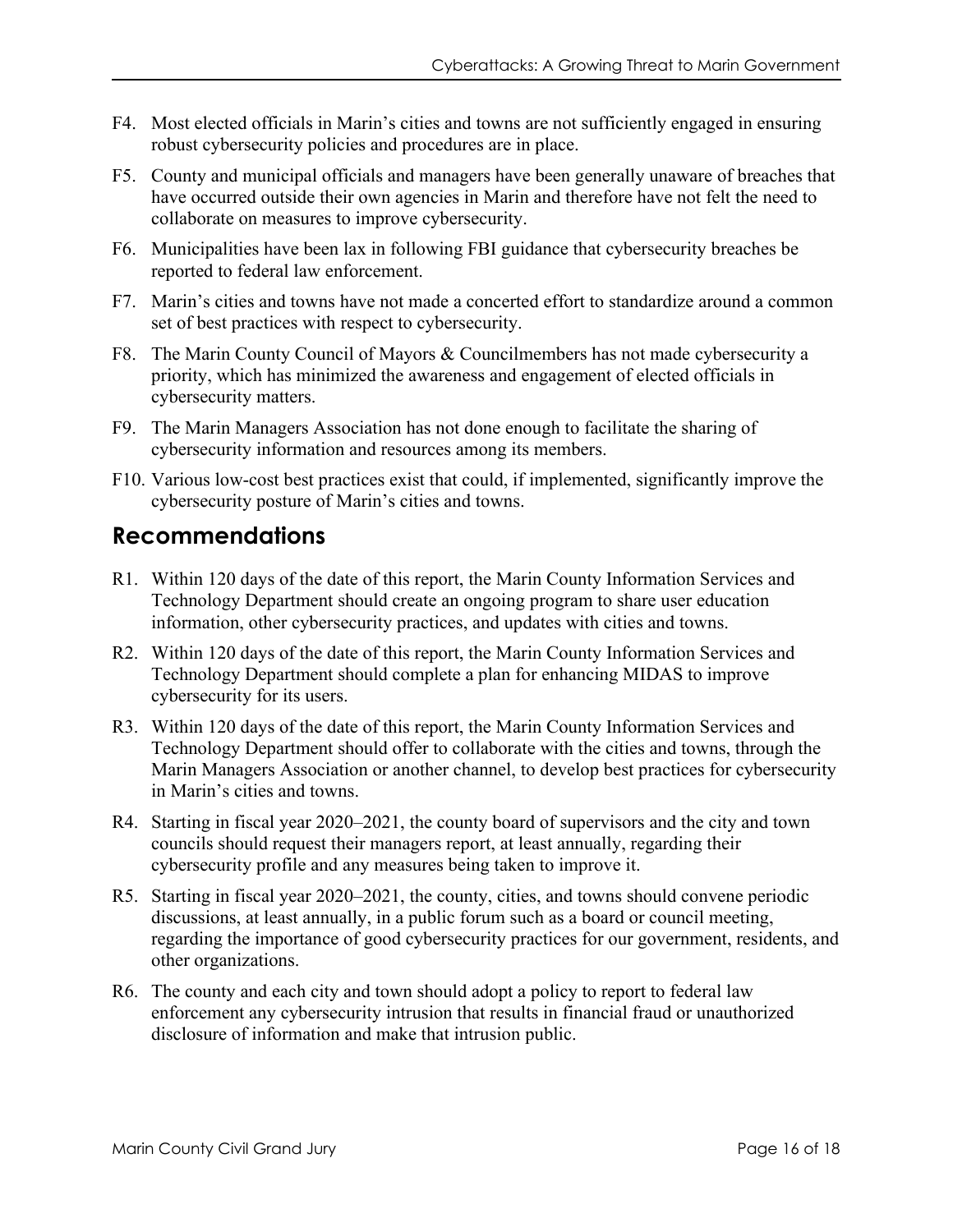- F4. Most elected officials in Marin's cities and towns are not sufficiently engaged in ensuring robust cybersecurity policies and procedures are in place.
- F5. County and municipal officials and managers have been generally unaware of breaches that have occurred outside their own agencies in Marin and therefore have not felt the need to collaborate on measures to improve cybersecurity.
- F6. Municipalities have been lax in following FBI guidance that cybersecurity breaches be reported to federal law enforcement.
- F7. Marin's cities and towns have not made a concerted effort to standardize around a common set of best practices with respect to cybersecurity.
- F8. The Marin County Council of Mayors & Councilmembers has not made cybersecurity a priority, which has minimized the awareness and engagement of elected officials in cybersecurity matters.
- F9. The Marin Managers Association has not done enough to facilitate the sharing of cybersecurity information and resources among its members.
- F10. Various low-cost best practices exist that could, if implemented, significantly improve the cybersecurity posture of Marin's cities and towns.

# **Recommendations**

- R1. Within 120 days of the date of this report, the Marin County Information Services and Technology Department should create an ongoing program to share user education information, other cybersecurity practices, and updates with cities and towns.
- R2. Within 120 days of the date of this report, the Marin County Information Services and Technology Department should complete a plan for enhancing MIDAS to improve cybersecurity for its users.
- R3. Within 120 days of the date of this report, the Marin County Information Services and Technology Department should offer to collaborate with the cities and towns, through the Marin Managers Association or another channel, to develop best practices for cybersecurity in Marin's cities and towns.
- R4. Starting in fiscal year 2020–2021, the county board of supervisors and the city and town councils should request their managers report, at least annually, regarding their cybersecurity profile and any measures being taken to improve it.
- R5. Starting in fiscal year 2020–2021, the county, cities, and towns should convene periodic discussions, at least annually, in a public forum such as a board or council meeting, regarding the importance of good cybersecurity practices for our government, residents, and other organizations.
- R6. The county and each city and town should adopt a policy to report to federal law enforcement any cybersecurity intrusion that results in financial fraud or unauthorized disclosure of information and make that intrusion public.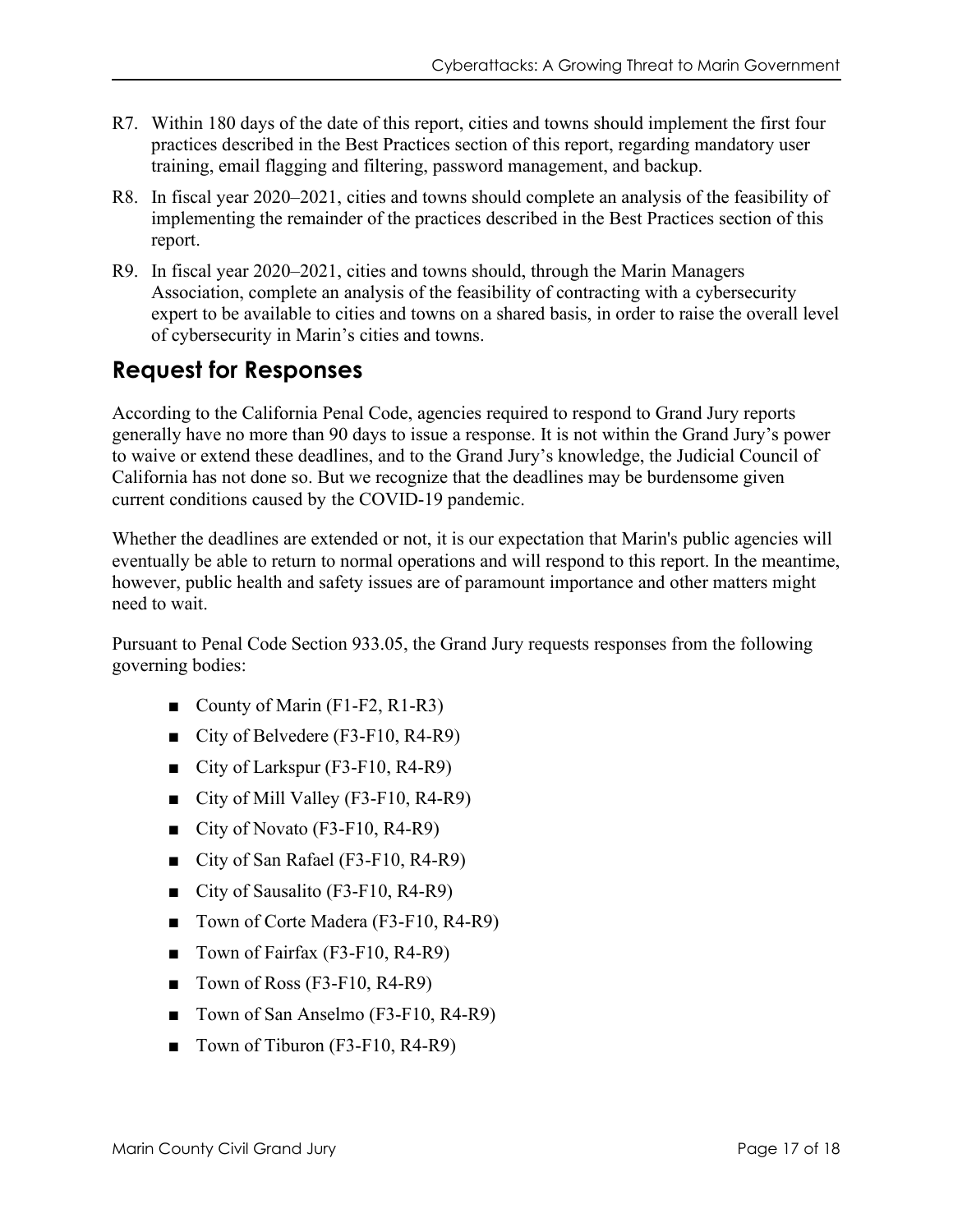- R7. Within 180 days of the date of this report, cities and towns should implement the first four practices described in the Best Practices section of this report, regarding mandatory user training, email flagging and filtering, password management, and backup.
- R8. In fiscal year 2020–2021, cities and towns should complete an analysis of the feasibility of implementing the remainder of the practices described in the Best Practices section of this report.
- R9. In fiscal year 2020–2021, cities and towns should, through the Marin Managers Association, complete an analysis of the feasibility of contracting with a cybersecurity expert to be available to cities and towns on a shared basis, in order to raise the overall level of cybersecurity in Marin's cities and towns.

# **Request for Responses**

According to the California Penal Code, agencies required to respond to Grand Jury reports generally have no more than 90 days to issue a response. It is not within the Grand Jury's power to waive or extend these deadlines, and to the Grand Jury's knowledge, the Judicial Council of California has not done so. But we recognize that the deadlines may be burdensome given current conditions caused by the COVID-19 pandemic.

Whether the deadlines are extended or not, it is our expectation that Marin's public agencies will eventually be able to return to normal operations and will respond to this report. In the meantime, however, public health and safety issues are of paramount importance and other matters might need to wait.

Pursuant to Penal Code Section 933.05, the Grand Jury requests responses from the following governing bodies:

- County of Marin (F1-F2, R1-R3)
- City of Belvedere (F3-F10, R4-R9)
- City of Larkspur (F3-F10, R4-R9)
- City of Mill Valley (F3-F10, R4-R9)
- City of Novato (F3-F10, R4-R9)
- City of San Rafael (F3-F10, R4-R9)
- City of Sausalito (F3-F10, R4-R9)
- Town of Corte Madera (F3-F10, R4-R9)
- Town of Fairfax (F3-F10, R4-R9)
- Town of Ross (F3-F10, R4-R9)
- Town of San Anselmo (F3-F10, R4-R9)
- Town of Tiburon (F3-F10, R4-R9)